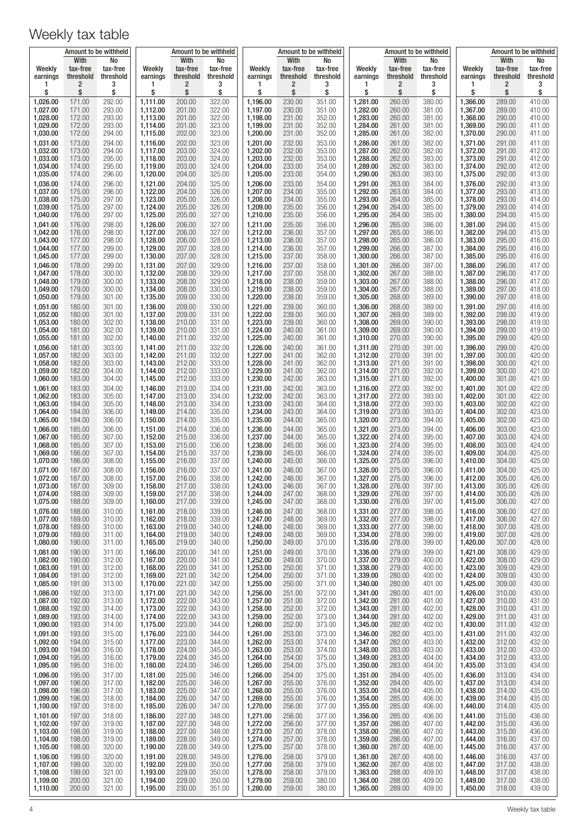|                      | Amount to be withheld |                  |                      | Amount to be withheld |                  |                      |                  | Amount to be withheld |                      |                  | Amount to be withheld |                      | Amount to be withheld |                  |
|----------------------|-----------------------|------------------|----------------------|-----------------------|------------------|----------------------|------------------|-----------------------|----------------------|------------------|-----------------------|----------------------|-----------------------|------------------|
| Weekly               | With<br>tax-free      | No<br>tax-free   | Weekly               | With<br>tax-free      | No<br>tax-free   | Weekly               | With<br>tax-free | No<br>tax-free        | Weekly               | With<br>tax-free | No<br>tax-free        | Weekly               | With<br>tax-free      | No<br>tax-free   |
| earnings             | threshold             | threshold        | earnings             | threshold             | threshold        | earnings             | threshold        | threshold             | earnings             | threshold        | threshold             | earnings             | threshold             | threshold        |
| 1<br>\$              | $\overline{c}$<br>\$  | 3<br>\$          | 1<br>\$              | 2<br>\$               | 3<br>\$          | 1<br>\$              | 2<br>\$          | 3<br>\$               | 1<br>\$              | 2<br>\$          | 3<br>\$               | 1<br>\$              | 2<br>\$               | 3<br>\$          |
| 1,026.00             | 171.00                | 292.00           | 1,111.00             | 200.00                | 322.00           | 1,196.00             | 230.00           | 351.00                | 1,281.00             | 260.00           | 380.00                | 1,366.00             | 289.00                | 410.00           |
| 1,027.00             | 171.00                | 293.00           | 1,112.00             | 201.00                | 322.00           | 1,197.00             | 230.00           | 351.00                | 1,282.00             | 260.00           | 381.00                | 1,367.00             | 289.00                | 410.00           |
| 1,028.00<br>1,029.00 | 172.00<br>172.00      | 293.00<br>293.00 | 1,113.00<br>1,114.00 | 201.00<br>201.00      | 322.00<br>323.00 | 1,198.00<br>1,199.00 | 231.00<br>231.00 | 352.00<br>352.00      | 1,283.00<br>1,284.00 | 260.00<br>261.00 | 381.00<br>381.00      | 1,368.00<br>1,369.00 | 290.00<br>290.00      | 410.00<br>411.00 |
| 1,030.00             | 172.00                | 294.00           | 1,115.00             | 202.00                | 323.00           | 1,200.00             | 231.00           | 352.00                | 1,285.00             | 261.00           | 382.00                | 1,370.00             | 290.00                | 411.00           |
| 1,031.00             | 173.00                | 294.00           | 1,116.00             | 202.00                | 323.00           | 1,201.00             | 232.00           | 353.00                | 1,286.00             | 261.00           | 382.00                | 1,371.00             | 291.00                | 411.00           |
| 1,032.00<br>1,033.00 | 173.00<br>173.00      | 294.00<br>295.00 | 1,117.00<br>1,118.00 | 203.00<br>203.00      | 324.00<br>324.00 | 1,202.00<br>1,203.00 | 232.00<br>232.00 | 353.00<br>353.00      | 1,287.00<br>1,288.00 | 262.00<br>262.00 | 382.00<br>383.00      | 1,372.00<br>1,373.00 | 291.00<br>291.00      | 412.00<br>412.00 |
| 1,034.00             | 174.00                | 295.00           | 1,119.00             | 203.00                | 324.00           | 1,204.00             | 233.00           | 354.00                | 1,289.00             | 262.00           | 383.00                | 1,374.00             | 292.00                | 412.00           |
| 1,035.00             | 174.00                | 296.00<br>296.00 | 1,120.00<br>1,121.00 | 204.00<br>204.00      | 325.00<br>325.00 | 1,205.00<br>1,206.00 | 233.00<br>233.00 | 354.00                | 1,290.00             | 263.00<br>263.00 | 383.00                | 1,375.00             | 292.00<br>292.00      | 413.00<br>413.00 |
| 1,036.00<br>1,037.00 | 174.00<br>175.00      | 296.00           | 1,122.00             | 204.00                | 326.00           | 1,207.00             | 234.00           | 354.00<br>355.00      | 1,291.00<br>1,292.00 | 263.00           | 384.00<br>384.00      | 1,376.00<br>1,377.00 | 293.00                | 413.00           |
| 1,038.00             | 175.00                | 297.00           | 1,123.00             | 205.00                | 326.00           | 1,208.00             | 234.00           | 355.00                | 1,293.00             | 264.00           | 385.00                | 1,378.00             | 293.00                | 414.00           |
| 1,039.00<br>1,040.00 | 175.00<br>176.00      | 297.00<br>297.00 | 1,124.00<br>1,125.00 | 205.00<br>205.00      | 326.00<br>327.00 | 1,209.00<br>1,210.00 | 235.00<br>235.00 | 356.00<br>356.00      | 1,294.00<br>1,295.00 | 264.00<br>264.00 | 385.00<br>385.00      | 1,379.00<br>1,380.00 | 293.00<br>294.00      | 414.00<br>415.00 |
| 1,041.00             | 176.00                | 298.00           | 1,126.00             | 206.00                | 327.00           | 1,211.00             | 235.00           | 356.00                | 1,296.00             | 265.00           | 386.00                | 1,381.00             | 294.00                | 415.00           |
| 1,042.00<br>1,043.00 | 176.00<br>177.00      | 298.00<br>298.00 | 1,127.00<br>1,128.00 | 206.00<br>206.00      | 327.00<br>328.00 | 1,212.00<br>1,213.00 | 236.00<br>236.00 | 357.00<br>357.00      | 1,297.00<br>1,298.00 | 265.00<br>265.00 | 386.00<br>386.00      | 1,382.00<br>1,383.00 | 294.00<br>295.00      | 415.00<br>416.00 |
| 1,044.00             | 177.00                | 299.00           | 1,129.00             | 207.00                | 328.00           | 1,214.00             | 236.00           | 357.00                | 1,299.00             | 266.00           | 387.00                | 1,384.00             | 295.00                | 416.00           |
| 1,045.00             | 177.00                | 299.00           | 1,130.00             | 207.00                | 328.00           | 1,215.00             | 237.00           | 358.00                | 1,300.00             | 266.00           | 387.00                | 1,385.00             | 295.00                | 416.00           |
| 1,046.00<br>1,047.00 | 178.00<br>178.00      | 299.00<br>300.00 | 1,131.00<br>1,132.00 | 207.00<br>208.00      | 329.00<br>329.00 | 1.216.00<br>1.217.00 | 237.00<br>237.00 | 358.00<br>358.00      | 1,301.00<br>1,302.00 | 266.00<br>267.00 | 387.00<br>388.00      | 1.386.00<br>1,387.00 | 296.00<br>296.00      | 417.00<br>417.00 |
| 1,048.00             | 179.00                | 300.00           | 1,133.00             | 208.00                | 329.00           | 1,218.00             | 238.00           | 359.00                | 1,303.00             | 267.00           | 388.00                | 1,388.00             | 296.00                | 417.00           |
| 1,049.00<br>1,050.00 | 179.00<br>179.00      | 300.00<br>301.00 | 1,134.00<br>1,135.00 | 208.00<br>209.00      | 330.00<br>330.00 | 1,219.00<br>1,220.00 | 238.00<br>238.00 | 359.00<br>359.00      | 1,304.00<br>1,305.00 | 267.00<br>268.00 | 388.00<br>389.00      | 1,389.00<br>1,390.00 | 297.00<br>297.00      | 418.00<br>418.00 |
| 1,051.00             | 180.00                | 301.00           | 1,136.00             | 209.00                | 330.00           | 1,221.00             | 239.00           | 360.00                | 1,306.00             | 268.00           | 389.00                | 1,391.00             | 297.00                | 418.00           |
| 1,052.00             | 180.00                | 301.00           | 1,137.00             | 209.00                | 331.00           | 1,222.00             | 239.00           | 360.00                | 1,307.00             | 269.00           | 389.00                | 1,392.00             | 298.00                | 419.00           |
| 1,053.00<br>1,054.00 | 180.00<br>181.00      | 302.00<br>302.00 | 1,138.00<br>1,139.00 | 210.00<br>210.00      | 331.00<br>331.00 | 1,223.00<br>1,224.00 | 239.00<br>240.00 | 360.00<br>361.00      | 1,308.00<br>1,309.00 | 269.00<br>269.00 | 390.00<br>390.00      | 1,393.00<br>1,394.00 | 298.00<br>299.00      | 419.00<br>419.00 |
| 1,055.00             | 181.00                | 302.00           | 1,140.00             | 211.00                | 332.00           | 1,225.00             | 240.00           | 361.00                | 1,310.00             | 270.00           | 390.00                | 1,395.00             | 299.00                | 420.00           |
| 1,056.00             | 181.00                | 303.00           | 1,141.00             | 211.00                | 332.00           | 1,226.00             | 240.00           | 361.00                | 1,311.00             | 270.00           | 391.00                | 1,396.00             | 299.00                | 420.00           |
| 1,057.00<br>1,058.00 | 182.00<br>182.00      | 303.00<br>303.00 | 1,142.00<br>1,143.00 | 211.00<br>212.00      | 332.00<br>333.00 | 1,227.00<br>1,228.00 | 241.00<br>241.00 | 362.00<br>362.00      | 1,312.00<br>1,313.00 | 270.00<br>271.00 | 391.00<br>391.00      | 1,397.00<br>1,398.00 | 300.00<br>300.00      | 420.00<br>421.00 |
| 1,059.00             | 182.00                | 304.00           | 1,144.00             | 212.00                | 333.00           | 1,229.00             | 241.00           | 362.00                | 1,314.00             | 271.00           | 392.00                | 1,399.00             | 300.00                | 421.00           |
| 1,060.00             | 183.00                | 304.00           | 1,145.00             | 212.00                | 333.00           | 1,230.00             | 242.00           | 363.00                | 1,315.00             | 271.00           | 392.00                | 1,400.00             | 301.00                | 421.00           |
| 1,061.00<br>1,062.00 | 183.00<br>183.00      | 304.00<br>305.00 | 1,146.00<br>1,147.00 | 213.00<br>213.00      | 334.00<br>334.00 | 1,231.00<br>1,232.00 | 242.00<br>242.00 | 363.00<br>363.00      | 1,316.00<br>1,317.00 | 272.00<br>272.00 | 392.00<br>393.00      | 1,401.00<br>1,402.00 | 301.00<br>301.00      | 422.00<br>422.00 |
| 1,063.00             | 184.00                | 305.00           | 1,148.00             | 213.00                | 334.00           | 1,233.00             | 243.00           | 364.00                | 1,318.00             | 272.00           | 393.00                | 1,403.00             | 302.00                | 422.00           |
| 1,064.00<br>1,065.00 | 184.00<br>184.00      | 306.00<br>306.00 | 1,149.00<br>1,150.00 | 214.00<br>214.00      | 335.00<br>335.00 | 1,234.00<br>1,235.00 | 243.00<br>244.00 | 364.00<br>365.00      | 1,319.00<br>1,320.00 | 273.00<br>273.00 | 393.00<br>394.00      | 1,404.00<br>1,405.00 | 302.00<br>302.00      | 423.00<br>423.00 |
| 1,066.00             | 185.00                | 306.00           | 1,151.00             | 214.00                | 336.00           | 1,236.00             | 244.00           | 365.00                | 1,321.00             | 273.00           | 394.00                | 1,406.00             | 303.00                | 423.00           |
| 1,067.00             | 185.00                | 307.00           | 1,152.00             | 215.00                | 336.00           | 1,237.00             | 244.00           | 365.00                | 1,322.00             | 274.00           | 395.00                | 1,407.00             | 303.00                | 424.00           |
| 1,068.00<br>1,069.00 | 185.00<br>186.00      | 307.00<br>307.00 | 1,153.00<br>1,154.00 | 215.00<br>215.00      | 336.00<br>337.00 | 1,238.00<br>1,239.00 | 245.00<br>245.00 | 366.00<br>366.00      | 1,323.00<br>1,324.00 | 274.00<br>274.00 | 395.00<br>395.00      | 1,408.00<br>1,409.00 | 303.00<br>304.00      | 424.00<br>425.00 |
| 1,070.00             | 186.00                | 308.00           | 1,155.00             | 216.00                | 337.00           | 1,240.00             | 245.00           | 366.00                | 1,325.00             | 275.00           | 396.00                | 1,410.00             | 304.00                | 425.00           |
| 1,071.00<br>1,072.00 | 187.00<br>187.00      | 308.00<br>308.00 | 1,156.00<br>1,157.00 | 216.00<br>216.00      | 337.00<br>338.00 | 1,241.00<br>1,242.00 | 246.00<br>246.00 | 367.00<br>367.00      | 1,326.00<br>1,327.00 | 275.00<br>275.00 | 396.00<br>396.00      | 1,411.00<br>1,412.00 | 304.00<br>305.00      | 425.00<br>426.00 |
| 1,073.00             | 187.00                | 309.00           | 1,158.00             | 217.00                | 338.00           | 1,243.00             | 246.00           | 367.00                | 1,328.00             | 276.00           | 397.00                | 1,413.00             | 305.00                | 426.00           |
| 1,074.00<br>1,075.00 | 188.00<br>188.00      | 309.00<br>309.00 | 1,159.00<br>1,160.00 | 217.00<br>217.00      | 338.00<br>339.00 | 1,244.00<br>1,245.00 | 247.00<br>247.00 | 368.00<br>368.00      | 1,329.00<br>1,330.00 | 276.00<br>276.00 | 397.00<br>397.00      | 1,414.00<br>1,415.00 | 305.00<br>306.00      | 426.00<br>427.00 |
| 1,076.00             | 188.00                | 310.00           | 1,161.00             | 218.00                | 339.00           | 1,246.00             | 247.00           | 368.00                | 1,331.00             | 277.00           | 398.00                | 1,416.00             | 306.00                | 427.00           |
| 1,077.00             | 189.00                | 310.00           | 1,162.00             | 218.00                | 339.00           | 1,247.00             | 248.00           | 369.00                | 1,332.00             | 277.00           | 398.00                | 1,417.00             | 306.00                | 427.00           |
| 1,078.00<br>1,079.00 | 189.00<br>189.00      | 310.00<br>311.00 | 1,163.00<br>1,164.00 | 219.00<br>219.00      | 340.00<br>340.00 | 1,248.00<br>1,249.00 | 248.00<br>248.00 | 369.00<br>369.00      | 1,333.00<br>1,334.00 | 277.00<br>278.00 | 398.00<br>399.00      | 1,418.00<br>1,419.00 | 307.00<br>307.00      | 428.00<br>428.00 |
| 1,080.00             | 190.00                | 311.00           | 1,165.00             | 219.00                | 340.00           | 1,250.00             | 249.00           | 370.00                | 1,335.00             | 278.00           | 399.00                | 1,420.00             | 307.00                | 428.00           |
| 1,081.00             | 190.00                | 311.00           | 1,166.00             | 220.00                | 341.00           | 1,251.00             | 249.00           | 370.00                | 1,336.00             | 279.00           | 399.00                | 1,421.00             | 308.00                | 429.00           |
| 1,082.00<br>1,083.00 | 190.00<br>191.00      | 312.00<br>312.00 | 1,167.00<br>1,168.00 | 220.00<br>220.00      | 341.00<br>341.00 | 1,252.00<br>1,253.00 | 249.00<br>250.00 | 370.00<br>371.00      | 1,337.00<br>1,338.00 | 279.00<br>279.00 | 400.00<br>400.00      | 1,422.00<br>1,423.00 | 308.00<br>309.00      | 429.00<br>429.00 |
| 1,084.00             | 191.00                | 312.00           | 1,169.00             | 221.00                | 342.00           | 1,254.00             | 250.00           | 371.00                | 1,339.00             | 280.00           | 400.00                | 1,424.00             | 309.00                | 430.00           |
| 1,085.00<br>1,086.00 | 191.00<br>192.00      | 313.00<br>313.00 | 1,170.00<br>1,171.00 | 221.00<br>221.00      | 342.00<br>342.00 | 1,255.00<br>1,256.00 | 250.00<br>251.00 | 371.00<br>372.00      | 1,340.00<br>1,341.00 | 280.00<br>280.00 | 401.00<br>401.00      | 1,425.00<br>1,426.00 | 309.00<br>310.00      | 430.00<br>430.00 |
| 1,087.00             | 192.00                | 313.00           | 1,172.00             | 222.00                | 343.00           | 1,257.00             | 251.00           | 372.00                | 1,342.00             | 281.00           | 401.00                | 1,427.00             | 310.00                | 431.00           |
| 1,088.00             | 192.00                | 314.00           | 1,173.00             | 222.00                | 343.00           | 1,258.00             | 252.00           | 372.00                | 1,343.00             | 281.00           | 402.00                | 1,428.00             | 310.00                | 431.00           |
| 1,089.00<br>1,090.00 | 193.00<br>193.00      | 314.00<br>314.00 | 1,174.00<br>1,175.00 | 222.00<br>223.00      | 343.00<br>344.00 | 1,259.00<br>1,260.00 | 252.00<br>252.00 | 373.00<br>373.00      | 1,344.00<br>1,345.00 | 281.00<br>282.00 | 402.00<br>402.00      | 1,429.00<br>1,430.00 | 311.00<br>311.00      | 431.00<br>432.00 |
| 1,091.00             | 193.00                | 315.00           | 1,176.00             | 223.00                | 344.00           | 1,261.00             | 253.00           | 373.00                | 1,346.00             | 282.00           | 403.00                | 1,431.00             | 311.00                | 432.00           |
| 1,092.00<br>1,093.00 | 194.00<br>194.00      | 315.00<br>316.00 | 1,177.00<br>1,178.00 | 223.00<br>224.00      | 344.00<br>345.00 | 1,262.00<br>1,263.00 | 253.00<br>253.00 | 374.00<br>374.00      | 1,347.00<br>1,348.00 | 282.00<br>283.00 | 403.00<br>403.00      | 1,432.00<br>1,433.00 | 312.00<br>312.00      | 432.00<br>433.00 |
| 1,094.00             | 195.00                | 316.00           | 1,179.00             | 224.00                | 345.00           | 1,264.00             | 254.00           | 375.00                | 1,349.00             | 283.00           | 404.00                | 1,434.00             | 312.00                | 433.00           |
| 1,095.00             | 195.00                | 316.00           | 1,180.00             | 224.00                | 346.00           | 1,265.00             | 254.00           | 375.00                | 1,350.00             | 283.00           | 404.00                | 1,435.00             | 313.00                | 434.00           |
| 1,096.00<br>1,097.00 | 195.00<br>196.00      | 317.00<br>317.00 | 1,181.00<br>1,182.00 | 225.00<br>225.00      | 346.00<br>346.00 | 1,266.00<br>1,267.00 | 254.00<br>255.00 | 375.00<br>376.00      | 1,351.00<br>1,352.00 | 284.00<br>284.00 | 405.00<br>405.00      | 1,436.00<br>1,437.00 | 313.00<br>313.00      | 434.00<br>434.00 |
| 1,098.00             | 196.00                | 317.00           | 1,183.00             | 225.00                | 347.00           | 1,268.00             | 255.00           | 376.00                | 1,353.00             | 284.00           | 405.00                | 1,438.00             | 314.00                | 435.00           |
| 1,099.00<br>1,100.00 | 196.00<br>197.00      | 318.00<br>318.00 | 1,184.00<br>1,185.00 | 226.00<br>226.00      | 347.00<br>347.00 | 1,269.00<br>1,270.00 | 255.00<br>256.00 | 376.00<br>377.00      | 1,354.00<br>1,355.00 | 285.00<br>285.00 | 406.00<br>406.00      | 1,439.00<br>1,440.00 | 314.00<br>314.00      | 435.00<br>435.00 |
| 1,101.00             | 197.00                | 318.00           | 1,186.00             | 227.00                | 348.00           | 1,271.00             | 256.00           | 377.00                | 1,356.00             | 285.00           | 406.00                | 1,441.00             | 315.00                | 436.00           |
| 1,102.00             | 197.00                | 319.00           | 1,187.00             | 227.00                | 348.00           | 1,272.00             | 256.00           | 377.00                | 1,357.00             | 286.00           | 407.00                | 1,442.00             | 315.00                | 436.00           |
| 1,103.00<br>1,104.00 | 198.00<br>198.00      | 319.00<br>319.00 | 1,188.00<br>1,189.00 | 227.00<br>228.00      | 348.00<br>349.00 | 1,273.00<br>1,274.00 | 257.00<br>257.00 | 378.00<br>378.00      | 1,358.00<br>1,359.00 | 286.00<br>286.00 | 407.00<br>407.00      | 1,443.00<br>1,444.00 | 315.00<br>316.00      | 436.00<br>437.00 |
| 1,105.00             | 198.00                | 320.00           | 1,190.00             | 228.00                | 349.00           | 1,275.00             | 257.00           | 378.00                | 1,360.00             | 287.00           | 408.00                | 1,445.00             | 316.00                | 437.00           |
| 1,106.00             | 199.00                | 320.00           | 1,191.00             | 228.00                | 349.00           | 1,276.00             | 258.00           | 379.00                | 1,361.00             | 287.00           | 408.00                | 1,446.00             | 316.00                | 437.00           |
| 1,107.00<br>1,108.00 | 199.00<br>199.00      | 320.00<br>321.00 | 1,192.00<br>1,193.00 | 229.00<br>229.00      | 350.00<br>350.00 | 1,277.00<br>1,278.00 | 258.00<br>258.00 | 379.00<br>379.00      | 1,362.00<br>1,363.00 | 287.00<br>288.00 | 408.00<br>409.00      | 1,447.00<br>1,448.00 | 317.00<br>317.00      | 438.00<br>438.00 |
| 1,109.00             | 200.00                | 321.00           | 1,194.00             | 229.00                | 350.00           | 1,279.00             | 259.00           | 380.00                | 1,364.00             | 288.00           | 409.00                | 1,449.00             | 317.00                | 438.00           |
| 1,110.00             | 200.00                | 321.00           | 1,195.00             | 230.00                | 351.00           | 1,280.00             | 259.00           | 380.00                | 1,365.00             | 289.00           | 409.00                | 1,450.00             | 318.00                | 439.00           |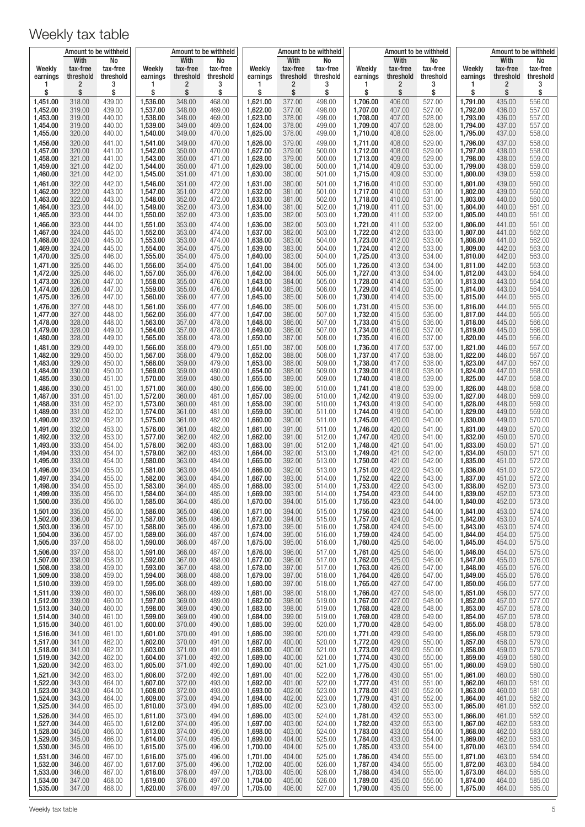|                      | Amount to be withheld         |                             | Amount to be withheld |                               |                             | Amount to be withheld |                               |                             |                      |                               | Amount to be withheld       | Amount to be withheld |                               |                             |  |
|----------------------|-------------------------------|-----------------------------|-----------------------|-------------------------------|-----------------------------|-----------------------|-------------------------------|-----------------------------|----------------------|-------------------------------|-----------------------------|-----------------------|-------------------------------|-----------------------------|--|
| Weekly<br>earnings   | With<br>tax-free<br>threshold | No<br>tax-free<br>threshold | Weekly<br>earnings    | With<br>tax-free<br>threshold | No<br>tax-free<br>threshold | Weekly<br>earnings    | With<br>tax-free<br>threshold | No<br>tax-free<br>threshold | Weekly<br>earnings   | With<br>tax-free<br>threshold | No<br>tax-free<br>threshold | Weekly<br>earnings    | With<br>tax-free<br>threshold | No<br>tax-free<br>threshold |  |
| 1<br>\$              | 2<br>\$                       | 3<br>\$                     | 1<br>\$               | $\overline{c}$<br>\$          | 3<br>\$                     | 1<br>\$               | 2<br>\$                       | 3<br>\$                     | 1<br>\$              | 2<br>\$                       | 3<br>\$                     | 1<br>\$               | 2<br>\$                       | 3<br>\$                     |  |
| 1,451.00             | 318.00                        | 439.00                      | 1,536.00              | 348.00                        | 468.00                      | 1,621.00              | 377.00                        | 498.00                      | 1,706.00             | 406.00                        | 527.00                      | 1,791.00              | 435.00                        | 556.00                      |  |
| 1,452.00             | 319.00                        | 439.00                      | 1,537.00              | 348.00                        | 469.00                      | 1,622.00              | 377.00                        | 498.00                      | 1,707.00             | 407.00                        | 527.00                      | 1,792.00              | 436.00                        | 557.00                      |  |
| 1,453.00<br>1,454.00 | 319.00<br>319.00              | 440.00<br>440.00            | 1,538.00<br>1,539.00  | 348.00<br>349.00              | 469.00<br>469.00            | 1,623.00<br>1,624.00  | 378.00<br>378.00              | 498.00<br>499.00            | 1,708.00<br>1,709.00 | 407.00<br>407.00              | 528.00<br>528.00            | 1,793.00<br>1,794.00  | 436.00<br>437.00              | 557.00<br>557.00            |  |
| 1,455.00             | 320.00                        | 440.00                      | 1,540.00              | 349.00                        | 470.00                      | 1,625.00              | 378.00                        | 499.00                      | 1,710.00             | 408.00                        | 528.00                      | 1,795.00              | 437.00                        | 558.00                      |  |
| 1,456.00<br>1,457.00 | 320.00<br>320.00              | 441.00<br>441.00            | 1,541.00<br>1,542.00  | 349.00<br>350.00              | 470.00<br>470.00            | 1,626.00<br>1,627.00  | 379.00<br>379.00              | 499.00<br>500.00            | 1,711.00<br>1,712.00 | 408.00<br>408.00              | 529.00<br>529.00            | 1,796.00<br>1,797.00  | 437.00<br>438.00              | 558.00<br>558.00            |  |
| 1,458.00             | 321.00                        | 441.00                      | 1,543.00              | 350.00                        | 471.00                      | 1,628.00              | 379.00                        | 500.00                      | 1,713.00             | 409.00                        | 529.00                      | 1,798.00              | 438.00                        | 559.00                      |  |
| 1,459.00<br>1,460.00 | 321.00<br>321.00              | 442.00<br>442.00            | 1,544.00<br>1,545.00  | 350.00<br>351.00              | 471.00<br>471.00            | 1,629.00<br>1,630.00  | 380.00<br>380.00              | 500.00<br>501.00            | 1,714.00<br>1,715.00 | 409.00<br>409.00              | 530.00<br>530.00            | 1,799.00<br>1,800.00  | 438.00<br>439.00              | 559.00<br>559.00            |  |
| 1,461.00             | 322.00                        | 442.00                      | 1,546.00              | 351.00                        | 472.00                      | 1,631.00              | 380.00                        | 501.00                      | 1,716.00             | 410.00                        | 530.00                      | 1,801.00              | 439.00                        | 560.00                      |  |
| 1,462.00             | 322.00<br>322.00              | 443.00                      | 1,547.00              | 351.00                        | 472.00                      | 1,632.00              | 381.00                        | 501.00                      | 1,717.00             | 410.00<br>410.00              | 531.00                      | 1,802.00              | 439.00<br>440.00              | 560.00<br>560.00            |  |
| 1,463.00<br>1,464.00 | 323.00                        | 443.00<br>444.00            | 1,548.00<br>1,549.00  | 352.00<br>352.00              | 472.00<br>473.00            | 1,633.00<br>1,634.00  | 381.00<br>381.00              | 502.00<br>502.00            | 1,718.00<br>1,719.00 | 411.00                        | 531.00<br>531.00            | 1,803.00<br>1,804.00  | 440.00                        | 561.00                      |  |
| 1,465.00             | 323.00                        | 444.00                      | 1,550.00              | 352.00                        | 473.00                      | 1,635.00              | 382.00                        | 503.00                      | 1,720.00             | 411.00                        | 532.00                      | 1,805.00              | 440.00                        | 561.00                      |  |
| 1,466.00<br>1,467.00 | 323.00<br>324.00              | 444.00<br>445.00            | 1,551.00<br>1,552.00  | 353.00<br>353.00              | 474.00<br>474.00            | 1,636.00<br>1,637.00  | 382.00<br>382.00              | 503.00<br>503.00            | 1,721.00<br>1,722.00 | 411.00<br>412.00              | 532.00<br>533.00            | 1,806.00<br>1,807.00  | 441.00<br>441.00              | 561.00<br>562.00            |  |
| 1,468.00             | 324.00                        | 445.00                      | 1,553.00              | 353.00                        | 474.00                      | 1,638.00              | 383.00                        | 504.00                      | 1,723.00             | 412.00                        | 533.00                      | 1,808.00              | 441.00                        | 562.00                      |  |
| 1,469.00<br>1,470.00 | 324.00<br>325.00              | 445.00<br>446.00            | 1,554.00<br>1,555.00  | 354.00<br>354.00              | 475.00<br>475.00            | 1,639.00<br>1,640.00  | 383.00<br>383.00              | 504.00<br>504.00            | 1,724.00<br>1,725.00 | 412.00<br>413.00              | 533.00<br>534.00            | 1,809.00<br>1,810.00  | 442.00<br>442.00              | 563.00<br>563.00            |  |
| 1,471.00             | 325.00                        | 446.00                      | 1,556.00              | 354.00                        | 475.00                      | 1,641.00              | 384.00                        | 505.00                      | 1,726.00             | 413.00                        | 534.00                      | 1,811.00              | 442.00                        | 563.00                      |  |
| 1,472.00<br>1,473.00 | 325.00<br>326.00              | 446.00<br>447.00            | 1,557.00<br>1,558.00  | 355.00<br>355.00              | 476.00<br>476.00            | 1,642.00<br>1,643.00  | 384.00<br>384.00              | 505.00<br>505.00            | 1,727.00<br>1,728.00 | 413.00<br>414.00              | 534.00<br>535.00            | 1,812.00<br>1,813.00  | 443.00<br>443.00              | 564.00<br>564.00            |  |
| 1,474.00             | 326.00                        | 447.00                      | 1,559.00              | 355.00                        | 476.00                      | 1,644.00              | 385.00                        | 506.00                      | 1,729.00             | 414.00                        | 535.00                      | 1,814.00              | 443.00                        | 564.00                      |  |
| 1,475.00<br>1,476.00 | 326.00<br>327.00              | 447.00<br>448.00            | 1,560.00<br>1,561.00  | 356.00<br>356.00              | 477.00<br>477.00            | 1,645.00<br>1,646.00  | 385.00<br>385.00              | 506.00<br>506.00            | 1,730.00<br>1,731.00 | 414.00<br>415.00              | 535.00<br>536.00            | 1,815.00<br>1,816.00  | 444.00<br>444.00              | 565.00<br>565.00            |  |
| 1,477.00             | 327.00                        | 448.00                      | 1,562.00              | 356.00                        | 477.00                      | 1,647.00              | 386.00                        | 507.00                      | 1,732.00             | 415.00                        | 536.00                      | 1,817.00              | 444.00                        | 565.00                      |  |
| 1,478.00<br>1,479.00 | 328.00<br>328.00              | 448.00<br>449.00            | 1,563.00<br>1,564.00  | 357.00<br>357.00              | 478.00<br>478.00            | 1,648.00<br>1,649.00  | 386.00<br>386.00              | 507.00<br>507.00            | 1,733.00<br>1,734.00 | 415.00<br>416.00              | 536.00<br>537.00            | 1,818.00<br>1,819.00  | 445.00<br>445.00              | 566.00<br>566.00            |  |
| 1,480.00             | 328.00                        | 449.00                      | 1,565.00              | 358.00                        | 478.00                      | 1,650.00              | 387.00                        | 508.00                      | 1,735.00             | 416.00                        | 537.00                      | 1,820.00              | 445.00                        | 566.00                      |  |
| 1,481.00<br>1,482.00 | 329.00<br>329.00              | 449.00<br>450.00            | 1,566.00              | 358.00<br>358.00              | 479.00<br>479.00            | 1,651.00<br>1,652.00  | 387.00<br>388.00              | 508.00<br>508.00            | 1,736.00<br>1,737.00 | 417.00<br>417.00              | 537.00<br>538.00            | 1,821.00<br>1,822.00  | 446.00<br>446.00              | 567.00<br>567.00            |  |
| 1,483.00             | 329.00                        | 450.00                      | 1,567.00<br>1,568.00  | 359.00                        | 479.00                      | 1,653.00              | 388.00                        | 509.00                      | 1,738.00             | 417.00                        | 538.00                      | 1,823.00              | 447.00                        | 567.00                      |  |
| 1,484.00<br>1,485.00 | 330.00<br>330.00              | 450.00<br>451.00            | 1,569.00<br>1,570.00  | 359.00<br>359.00              | 480.00<br>480.00            | 1,654.00<br>1,655.00  | 388.00<br>389.00              | 509.00<br>509.00            | 1,739.00<br>1,740.00 | 418.00<br>418.00              | 538.00<br>539.00            | 1,824.00<br>1,825.00  | 447.00<br>447.00              | 568.00<br>568.00            |  |
| 1,486.00             | 330.00                        | 451.00                      | 1,571.00              | 360.00                        | 480.00                      | 1,656.00              | 389.00                        | 510.00                      | 1,741.00             | 418.00                        | 539.00                      | 1,826.00              | 448.00                        | 568.00                      |  |
| 1,487.00             | 331.00                        | 451.00                      | 1,572.00              | 360.00                        | 481.00                      | 1,657.00              | 389.00                        | 510.00                      | 1,742.00             | 419.00                        | 539.00                      | 1,827.00              | 448.00                        | 569.00                      |  |
| 1,488.00<br>1,489.00 | 331.00<br>331.00              | 452.00<br>452.00            | 1,573.00<br>1,574.00  | 360.00<br>361.00              | 481.00<br>481.00            | 1,658.00<br>1,659.00  | 390.00<br>390.00              | 510.00<br>511.00            | 1,743.00<br>1,744.00 | 419.00<br>419.00              | 540.00<br>540.00            | 1,828.00<br>1,829.00  | 448.00<br>449.00              | 569.00<br>569.00            |  |
| 1,490.00             | 332.00                        | 452.00                      | 1,575.00              | 361.00                        | 482.00                      | 1,660.00              | 390.00                        | 511.00                      | 1,745.00             | 420.00                        | 540.00                      | 1,830.00              | 449.00                        | 570.00                      |  |
| 1,491.00<br>1,492.00 | 332.00<br>332.00              | 453.00<br>453.00            | 1,576.00<br>1,577.00  | 361.00<br>362.00              | 482.00<br>482.00            | 1,661.00<br>1,662.00  | 391.00<br>391.00              | 511.00<br>512.00            | 1,746.00<br>1,747.00 | 420.00<br>420.00              | 541.00<br>541.00            | 1,831.00<br>1,832.00  | 449.00<br>450.00              | 570.00<br>570.00            |  |
| 1,493.00             | 333.00                        | 454.00                      | 1,578.00              | 362.00                        | 483.00                      | 1,663.00              | 391.00                        | 512.00                      | 1,748.00             | 421.00                        | 541.00                      | 1,833.00              | 450.00                        | 571.00                      |  |
| 1,494.00<br>1,495.00 | 333.00<br>333.00              | 454.00<br>454.00            | 1,579.00<br>1,580.00  | 362.00<br>363.00              | 483.00<br>484.00            | 1,664.00<br>1,665.00  | 392.00<br>392.00              | 513.00<br>513.00            | 1,749.00<br>1,750.00 | 421.00<br>421.00              | 542.00<br>542.00            | 1,834.00<br>1,835.00  | 450.00<br>451.00              | 571.00<br>572.00            |  |
| 1,496.00             | 334.00                        | 455.00                      | 1.581.00              | 363.00                        | 484.00                      | 1,666.00              | 392.00                        | 513.00                      | 1,751.00             | 422.00                        | 543.00                      | 1,836.00              | 451.00                        | 572.00                      |  |
| 1,497.00<br>1,498.00 | 334.00<br>334.00              | 455.00<br>455.00            | 1,582.00<br>1,583.00  | 363.00<br>364.00              | 484.00<br>485.00            | 1,667.00<br>1,668.00  | 393.00<br>393.00              | 514.00<br>514.00            | 1,752.00<br>1,753.00 | 422.00<br>422.00              | 543.00<br>543.00            | 1,837.00<br>1,838.00  | 451.00<br>452.00              | 572.00<br>573.00            |  |
| 1,499.00             | 335.00                        | 456.00                      | 1,584.00              | 364.00                        | 485.00                      | 1,669.00              | 393.00                        | 514.00                      | 1,754.00             | 423.00                        | 544.00                      | 1,839.00              | 452.00                        | 573.00                      |  |
| 1,500.00<br>1,501.00 | 335.00<br>335.00              | 456.00<br>456.00            | 1,585.00<br>1,586.00  | 364.00<br>365.00              | 485.00<br>486.00            | 1,670.00<br>1,671.00  | 394.00<br>394.00              | 515.00<br>515.00            | 1,755.00<br>1,756.00 | 423.00<br>423.00              | 544.00<br>544.00            | 1,840.00<br>1,841.00  | 452.00<br>453.00              | 573.00<br>574.00            |  |
| 1,502.00             | 336.00                        | 457.00                      | 1,587.00              | 365.00                        | 486.00                      | 1,672.00              | 394.00                        | 515.00                      | 1,757.00             | 424.00                        | 545.00                      | 1,842.00              | 453.00                        | 574.00                      |  |
| 1,503.00<br>1,504.00 | 336.00<br>336.00              | 457.00<br>457.00            | 1,588.00<br>1,589.00  | 365.00<br>366.00              | 486.00<br>487.00            | 1,673.00<br>1,674.00  | 395.00<br>395.00              | 516.00<br>516.00            | 1,758.00<br>1,759.00 | 424.00<br>424.00              | 545.00<br>545.00            | 1,843.00<br>1,844.00  | 453.00<br>454.00              | 574.00<br>575.00            |  |
| 1,505.00             | 337.00                        | 458.00                      | 1,590.00              | 366.00                        | 487.00                      | 1,675.00              | 395.00                        | 516.00                      | 1,760.00             | 425.00                        | 546.00                      | 1,845.00              | 454.00                        | 575.00                      |  |
| 1,506.00<br>1,507.00 | 337.00<br>338.00              | 458.00<br>458.00            | 1,591.00<br>1,592.00  | 366.00<br>367.00              | 487.00<br>488.00            | 1,676.00<br>1,677.00  | 396.00<br>396.00              | 517.00<br>517.00            | 1,761.00<br>1,762.00 | 425.00<br>425.00              | 546.00<br>546.00            | 1,846.00<br>1,847.00  | 454.00<br>455.00              | 575.00<br>576.00            |  |
| 1,508.00             | 338.00                        | 459.00                      | 1,593.00              | 367.00                        | 488.00                      | 1,678.00              | 397.00                        | 517.00                      | 1,763.00             | 426.00                        | 547.00                      | 1,848.00              | 455.00                        | 576.00                      |  |
| 1,509.00<br>1,510.00 | 338.00<br>339.00              | 459.00<br>459.00            | 1,594.00<br>1,595.00  | 368.00<br>368.00              | 488.00<br>489.00            | 1,679.00<br>1,680.00  | 397.00<br>397.00              | 518.00<br>518.00            | 1,764.00<br>1,765.00 | 426.00<br>427.00              | 547.00<br>547.00            | 1,849.00<br>1,850.00  | 455.00<br>456.00              | 576.00<br>577.00            |  |
| 1,511.00             | 339.00                        | 460.00                      | 1,596.00              | 368.00                        | 489.00                      | 1,681.00              | 398.00                        | 518.00                      | 1,766.00             | 427.00                        | 548.00                      | 1,851.00              | 456.00                        | 577.00                      |  |
| 1,512.00<br>1,513.00 | 339.00<br>340.00              | 460.00<br>460.00            | 1,597.00<br>1,598.00  | 369.00<br>369.00              | 489.00<br>490.00            | 1,682.00<br>1,683.00  | 398.00<br>398.00              | 519.00<br>519.00            | 1,767.00<br>1,768.00 | 427.00<br>428.00              | 548.00<br>548.00            | 1,852.00<br>1,853.00  | 457.00<br>457.00              | 577.00<br>578.00            |  |
| 1,514.00             | 340.00                        | 461.00                      | 1,599.00              | 369.00                        | 490.00                      | 1,684.00              | 399.00                        | 519.00                      | 1,769.00             | 428.00                        | 549.00                      | 1,854.00              | 457.00                        | 578.00                      |  |
| 1,515.00<br>1,516.00 | 340.00<br>341.00              | 461.00<br>461.00            | 1,600.00<br>1,601.00  | 370.00<br>370.00              | 490.00<br>491.00            | 1,685.00<br>1,686.00  | 399.00<br>399.00              | 520.00<br>520.00            | 1,770.00<br>1,771.00 | 428.00<br>429.00              | 549.00<br>549.00            | 1,855.00<br>1,856.00  | 458.00<br>458.00              | 578.00<br>579.00            |  |
| 1,517.00             | 341.00                        | 462.00                      | 1,602.00              | 370.00                        | 491.00                      | 1,687.00              | 400.00                        | 520.00                      | 1,772.00             | 429.00                        | 550.00                      | 1,857.00              | 458.00                        | 579.00                      |  |
| 1,518.00<br>1,519.00 | 341.00<br>342.00              | 462.00<br>462.00            | 1,603.00<br>1,604.00  | 371.00<br>371.00              | 491.00<br>492.00            | 1,688.00<br>1,689.00  | 400.00<br>400.00              | 521.00<br>521.00            | 1,773.00<br>1,774.00 | 429.00<br>430.00              | 550.00<br>550.00            | 1,858.00<br>1,859.00  | 459.00<br>459.00              | 579.00<br>580.00            |  |
| 1,520.00             | 342.00                        | 463.00                      | 1,605.00              | 371.00                        | 492.00                      | 1,690.00              | 401.00                        | 521.00                      | 1,775.00             | 430.00                        | 551.00                      | 1,860.00              | 459.00                        | 580.00                      |  |
| 1,521.00<br>1,522.00 | 342.00<br>343.00              | 463.00<br>464.00            | 1,606.00<br>1,607.00  | 372.00                        | 492.00<br>493.00            | 1,691.00              | 401.00<br>401.00              | 522.00                      | 1,776.00<br>1,777.00 | 430.00                        | 551.00                      | 1,861.00              | 460.00                        | 580.00<br>581.00            |  |
| 1,523.00             | 343.00                        | 464.00                      | 1,608.00              | 372.00<br>372.00              | 493.00                      | 1,692.00<br>1,693.00  | 402.00                        | 522.00<br>523.00            | 1,778.00             | 431.00<br>431.00              | 551.00<br>552.00            | 1,862.00<br>1,863.00  | 460.00<br>460.00              | 581.00                      |  |
| 1,524.00<br>1,525.00 | 343.00<br>344.00              | 464.00<br>465.00            | 1,609.00<br>1,610.00  | 373.00<br>373.00              | 494.00<br>494.00            | 1,694.00<br>1,695.00  | 402.00<br>402.00              | 523.00<br>523.00            | 1,779.00<br>1,780.00 | 431.00<br>432.00              | 552.00<br>553.00            | 1,864.00<br>1,865.00  | 461.00<br>461.00              | 582.00<br>582.00            |  |
| 1,526.00             | 344.00                        | 465.00                      | 1,611.00              | 373.00                        | 494.00                      | 1,696.00              | 403.00                        | 524.00                      | 1,781.00             | 432.00                        | 553.00                      | 1,866.00              | 461.00                        | 582.00                      |  |
| 1,527.00             | 344.00                        | 465.00                      | 1,612.00              | 374.00                        | 495.00                      | 1,697.00              | 403.00                        | 524.00                      | 1,782.00             | 432.00                        | 553.00                      | 1,867.00              | 462.00                        | 583.00                      |  |
| 1,528.00<br>1,529.00 | 345.00<br>345.00              | 466.00<br>466.00            | 1,613.00<br>1,614.00  | 374.00<br>374.00              | 495.00<br>495.00            | 1,698.00<br>1,699.00  | 403.00<br>404.00              | 524.00<br>525.00            | 1,783.00<br>1,784.00 | 433.00<br>433.00              | 554.00<br>554.00            | 1,868.00<br>1,869.00  | 462.00<br>462.00              | 583.00<br>583.00            |  |
| 1,530.00             | 345.00                        | 466.00                      | 1,615.00              | 375.00                        | 496.00                      | 1,700.00              | 404.00                        | 525.00                      | 1,785.00             | 433.00                        | 554.00                      | 1,870.00              | 463.00                        | 584.00                      |  |
| 1,531.00<br>1,532.00 | 346.00<br>346.00              | 467.00<br>467.00            | 1,616.00<br>1,617.00  | 375.00<br>375.00              | 496.00<br>496.00            | 1,701.00<br>1,702.00  | 404.00<br>405.00              | 525.00<br>526.00            | 1,786.00<br>1,787.00 | 434.00<br>434.00              | 555.00<br>555.00            | 1,871.00<br>1,872.00  | 463.00<br>463.00              | 584.00<br>584.00            |  |
| 1,533.00             | 346.00                        | 467.00                      | 1,618.00              | 376.00                        | 497.00                      | 1,703.00              | 405.00                        | 526.00                      | 1,788.00             | 434.00                        | 555.00                      | 1,873.00              | 464.00                        | 585.00                      |  |
| 1,534.00<br>1,535.00 | 347.00<br>347.00              | 468.00<br>468.00            | 1,619.00<br>1,620.00  | 376.00<br>376.00              | 497.00<br>497.00            | 1,704.00<br>1,705.00  | 405.00<br>406.00              | 526.00<br>527.00            | 1,789.00<br>1,790.00 | 435.00<br>435.00              | 556.00<br>556.00            | 1,874.00<br>1,875.00  | 464.00<br>464.00              | 585.00<br>585.00            |  |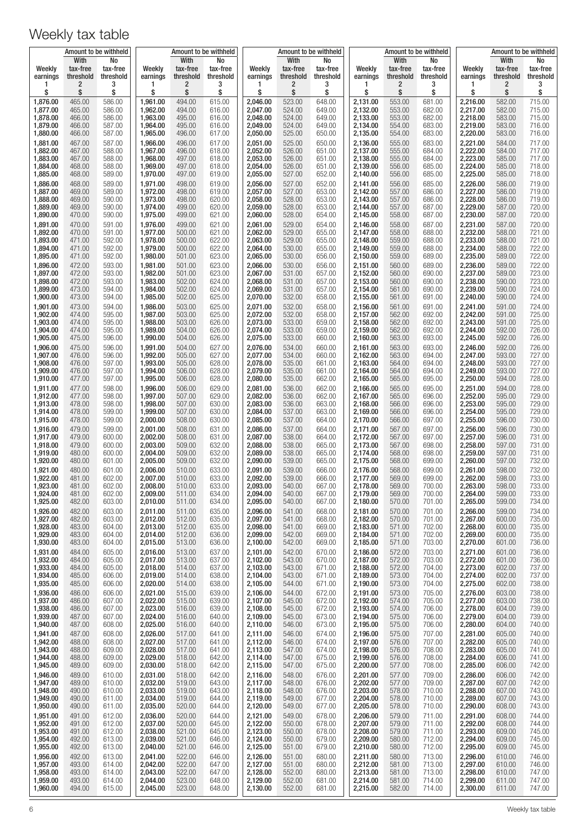|                      | Amount to be withheld         |                             | Amount to be withheld |                               |                             | Amount to be withheld |                               |                             |                      |                               | Amount to be withheld       | Amount to be withheld |                               |                             |  |
|----------------------|-------------------------------|-----------------------------|-----------------------|-------------------------------|-----------------------------|-----------------------|-------------------------------|-----------------------------|----------------------|-------------------------------|-----------------------------|-----------------------|-------------------------------|-----------------------------|--|
| Weekly<br>earnings   | With<br>tax-free<br>threshold | No<br>tax-free<br>threshold | Weekly<br>earnings    | With<br>tax-free<br>threshold | No<br>tax-free<br>threshold | Weekly<br>earnings    | With<br>tax-free<br>threshold | No<br>tax-free<br>threshold | Weekly<br>earnings   | With<br>tax-free<br>threshold | No<br>tax-free<br>threshold | Weekly<br>earnings    | With<br>tax-free<br>threshold | No<br>tax-free<br>threshold |  |
| 1<br>\$              | 2<br>\$                       | 3<br>\$                     | 1<br>\$               | $\overline{2}$<br>\$          | 3<br>\$                     | 1<br>\$               | 2<br>\$                       | 3<br>\$                     | 1<br>\$              | 2<br>\$                       | 3<br>\$                     | 1<br>\$               | 2<br>\$                       | 3<br>\$                     |  |
| 1,876.00             | 465.00                        | 586.00                      | 1,961.00              | 494.00                        | 615.00                      | 2,046.00              | 523.00                        | 648.00                      | 2,131.00             | 553.00                        | 681.00                      | 2,216.00              | 582.00                        | 715.00                      |  |
| 1,877.00             | 465.00                        | 586.00                      | 1,962.00<br>1,963.00  | 494.00<br>495.00              | 616.00                      | 2,047.00<br>2,048.00  | 524.00<br>524.00              | 649.00<br>649.00            | 2,132.00<br>2,133.00 | 553.00<br>553.00              | 682.00<br>682.00            | 2,217.00<br>2,218.00  | 582.00                        | 715.00<br>715.00            |  |
| 1,878.00<br>1,879.00 | 466.00<br>466.00              | 586.00<br>587.00            | 1,964.00              | 495.00                        | 616.00<br>616.00            | 2,049.00              | 524.00                        | 649.00                      | 2,134.00             | 554.00                        | 683.00                      | 2,219.00              | 583.00<br>583.00              | 716.00                      |  |
| 1,880.00             | 466.00                        | 587.00                      | 1,965.00              | 496.00                        | 617.00                      | 2,050.00              | 525.00                        | 650.00                      | 2,135.00             | 554.00                        | 683.00                      | 2,220.00              | 583.00                        | 716.00                      |  |
| 1,881.00<br>1,882.00 | 467.00<br>467.00              | 587.00<br>588.00            | 1,966.00<br>1,967.00  | 496.00<br>496.00              | 617.00<br>618.00            | 2,051.00<br>2,052.00  | 525.00<br>526.00              | 650.00<br>651.00            | 2,136.00<br>2,137.00 | 555.00<br>555.00              | 683.00<br>684.00            | 2,221.00<br>2,222.00  | 584.00<br>584.00              | 717.00<br>717.00            |  |
| 1,883.00             | 467.00                        | 588.00                      | 1,968.00              | 497.00                        | 618.00                      | 2,053.00              | 526.00                        | 651.00                      | 2,138.00             | 555.00                        | 684.00                      | 2,223.00              | 585.00                        | 717.00                      |  |
| 1,884.00<br>1,885.00 | 468.00<br>468.00              | 588.00<br>589.00            | 1,969.00<br>1,970.00  | 497.00<br>497.00              | 618.00<br>619.00            | 2,054.00<br>2,055.00  | 526.00<br>527.00              | 651.00<br>652.00            | 2,139.00<br>2,140.00 | 556.00<br>556.00              | 685.00<br>685.00            | 2,224.00<br>2,225.00  | 585.00<br>585.00              | 718.00<br>718.00            |  |
| 1,886.00             | 468.00                        | 589.00                      | 1,971.00              | 498.00                        | 619.00                      | 2,056.00              | 527.00                        | 652.00                      | 2,141.00             | 556.00                        | 685.00                      | 2,226.00              | 586.00                        | 719.00                      |  |
| 1,887.00             | 469.00                        | 589.00                      | 1,972.00              | 498.00                        | 619.00                      | 2,057.00              | 527.00                        | 653.00                      | 2,142.00             | 557.00                        | 686.00                      | 2,227.00              | 586.00                        | 719.00                      |  |
| 1,888.00<br>1,889.00 | 469.00<br>469.00              | 590.00<br>590.00            | 1,973.00<br>1,974.00  | 498.00<br>499.00              | 620.00<br>620.00            | 2,058.00<br>2,059.00  | 528.00<br>528.00              | 653.00<br>653.00            | 2,143.00<br>2,144.00 | 557.00<br>557.00              | 686.00<br>687.00            | 2,228.00<br>2,229.00  | 586.00<br>587.00              | 719.00<br>720.00            |  |
| 1,890.00             | 470.00                        | 590.00                      | 1,975.00              | 499.00                        | 621.00                      | 2,060.00              | 528.00                        | 654.00                      | 2,145.00             | 558.00                        | 687.00                      | 2,230.00              | 587.00                        | 720.00                      |  |
| 1,891.00<br>1,892.00 | 470.00<br>470.00              | 591.00<br>591.00            | 1,976.00<br>1,977.00  | 499.00<br>500.00              | 621.00<br>621.00            | 2,061.00<br>2,062.00  | 529.00<br>529.00              | 654.00<br>655.00            | 2,146.00<br>2,147.00 | 558.00<br>558.00              | 687.00<br>688.00            | 2,231.00<br>2,232.00  | 587.00<br>588.00              | 720.00<br>721.00            |  |
| 1,893.00             | 471.00                        | 592.00                      | 1,978.00              | 500.00                        | 622.00                      | 2,063.00              | 529.00                        | 655.00                      | 2,148.00             | 559.00                        | 688.00                      | 2,233.00              | 588.00                        | 721.00                      |  |
| 1.894.00<br>1,895.00 | 471.00<br>471.00              | 592.00<br>592.00            | 1,979.00<br>1,980.00  | 500.00<br>501.00              | 622.00<br>623.00            | 2,064.00<br>2,065.00  | 530.00<br>530.00              | 655.00<br>656.00            | 2,149.00<br>2,150.00 | 559.00<br>559.00              | 688.00<br>689.00            | 2,234.00<br>2,235.00  | 588.00<br>589.00              | 722.00<br>722.00            |  |
| 1,896.00             | 472.00                        | 593.00                      | 1,981.00              | 501.00                        | 623.00                      | 2,066.00              | 530.00                        | 656.00                      | 2,151.00             | 560.00                        | 689.00                      | 2,236.00              | 589.00                        | 722.00                      |  |
| 1,897.00<br>1,898.00 | 472.00<br>472.00              | 593.00<br>593.00            | 1,982.00<br>1,983.00  | 501.00<br>502.00              | 623.00<br>624.00            | 2,067.00<br>2,068.00  | 531.00<br>531.00              | 657.00<br>657.00            | 2,152.00<br>2,153.00 | 560.00<br>560.00              | 690.00<br>690.00            | 2,237.00<br>2,238.00  | 589.00<br>590.00              | 723.00<br>723.00            |  |
| 1,899.00             | 473.00                        | 594.00                      | 1,984.00              | 502.00                        | 624.00                      | 2,069.00              | 531.00                        | 657.00                      | 2,154.00             | 561.00                        | 690.00                      | 2,239.00              | 590.00                        | 724.00                      |  |
| 1,900.00<br>1,901.00 | 473.00<br>473.00              | 594.00<br>594.00            | 1,985.00<br>1,986.00  | 502.00<br>503.00              | 625.00<br>625.00            | 2,070.00<br>2.071.00  | 532.00<br>532.00              | 658.00<br>658.00            | 2,155.00<br>2.156.00 | 561.00<br>561.00              | 691.00<br>691.00            | 2,240.00<br>2,241.00  | 590.00<br>591.00              | 724.00<br>724.00            |  |
| 1,902.00             | 474.00                        | 595.00                      | 1,987.00              | 503.00                        | 625.00                      | 2,072.00              | 532.00                        | 658.00                      | 2,157.00             | 562.00                        | 692.00                      | 2,242.00              | 591.00                        | 725.00                      |  |
| 1,903.00<br>1.904.00 | 474.00<br>474.00              | 595.00<br>595.00            | 1,988.00<br>1,989.00  | 503.00<br>504.00              | 626.00<br>626.00            | 2,073.00<br>2,074.00  | 533.00<br>533.00              | 659.00<br>659.00            | 2,158.00<br>2,159.00 | 562.00<br>562.00              | 692.00<br>692.00            | 2,243.00<br>2,244.00  | 591.00<br>592.00              | 725.00<br>726.00            |  |
| 1,905.00             | 475.00                        | 596.00                      | 1,990.00              | 504.00                        | 626.00                      | 2,075.00              | 533.00                        | 660.00                      | 2,160.00             | 563.00                        | 693.00                      | 2,245.00              | 592.00                        | 726.00                      |  |
| 1,906.00             | 475.00                        | 596.00                      | 1,991.00              | 504.00                        | 627.00                      | 2,076.00              | 534.00                        | 660.00                      | 2,161.00             | 563.00                        | 693.00                      | 2,246.00              | 592.00                        | 726.00                      |  |
| 1,907.00<br>1,908.00 | 476.00<br>476.00              | 596.00<br>597.00            | 1,992.00<br>1,993.00  | 505.00<br>505.00              | 627.00<br>628.00            | 2,077.00<br>2,078.00  | 534.00<br>535.00              | 660.00<br>661.00            | 2,162.00<br>2,163.00 | 563.00<br>564.00              | 694.00<br>694.00            | 2,247.00<br>2,248.00  | 593.00<br>593.00              | 727.00<br>727.00            |  |
| 1,909.00             | 476.00                        | 597.00                      | 1,994.00              | 506.00                        | 628.00                      | 2,079.00              | 535.00                        | 661.00                      | 2,164.00             | 564.00                        | 694.00                      | 2,249.00              | 593.00                        | 727.00                      |  |
| 1,910.00<br>1,911.00 | 477.00<br>477.00              | 597.00<br>598.00            | 1,995.00<br>1,996.00  | 506.00<br>506.00              | 628.00<br>629.00            | 2,080.00<br>2,081.00  | 535.00<br>536.00              | 662.00<br>662.00            | 2,165.00<br>2,166.00 | 565.00<br>565.00              | 695.00<br>695.00            | 2,250.00<br>2,251.00  | 594.00<br>594.00              | 728.00<br>728.00            |  |
| 1,912.00             | 477.00                        | 598.00                      | 1,997.00              | 507.00                        | 629.00                      | 2,082.00              | 536.00                        | 662.00                      | 2,167.00             | 565.00                        | 696.00                      | 2,252.00              | 595.00                        | 729.00                      |  |
| 1,913.00<br>1,914.00 | 478.00<br>478.00              | 598.00<br>599.00            | 1,998.00<br>1,999.00  | 507.00<br>507.00              | 630.00<br>630.00            | 2,083.00<br>2,084.00  | 536.00<br>537.00              | 663.00<br>663.00            | 2,168.00<br>2,169.00 | 566.00<br>566.00              | 696.00<br>696.00            | 2,253.00<br>2,254.00  | 595.00<br>595.00              | 729.00<br>729.00            |  |
| 1,915.00             | 478.00                        | 599.00                      | 2,000.00              | 508.00                        | 630.00                      | 2,085.00              | 537.00                        | 664.00                      | 2,170.00             | 566.00                        | 697.00                      | 2,255.00              | 596.00                        | 730.00                      |  |
| 1,916.00<br>1,917.00 | 479.00<br>479.00              | 599.00<br>600.00            | 2,001.00<br>2,002.00  | 508.00<br>508.00              | 631.00<br>631.00            | 2,086.00<br>2,087.00  | 537.00<br>538.00              | 664.00<br>664.00            | 2,171.00<br>2,172.00 | 567.00<br>567.00              | 697.00<br>697.00            | 2,256.00<br>2,257.00  | 596.00<br>596.00              | 730.00<br>731.00            |  |
| 1,918.00             | 479.00                        | 600.00                      | 2,003.00              | 509.00                        | 632.00                      | 2,088.00              | 538.00                        | 665.00                      | 2,173.00             | 567.00                        | 698.00                      | 2,258.00              | 597.00                        | 731.00                      |  |
| 1,919.00<br>1,920.00 | 480.00<br>480.00              | 600.00<br>601.00            | 2,004.00<br>2,005.00  | 509.00<br>509.00              | 632.00<br>632.00            | 2,089.00<br>2,090.00  | 538.00<br>539.00              | 665.00<br>665.00            | 2,174.00<br>2,175.00 | 568.00<br>568.00              | 698.00<br>699.00            | 2,259.00<br>2,260.00  | 597.00<br>597.00              | 731.00<br>732.00            |  |
| 1,921.00             | 480.00                        | 601.00                      | 2,006.00              | 510.00                        | 633.00                      | 2,091.00              | 539.00                        | 666.00                      | 2.176.00             | 568.00                        | 699.00                      | 2,261.00              | 598.00                        | 732.00                      |  |
| 1,922.00<br>1,923.00 | 481.00<br>481.00              | 602.00<br>602.00            | 2,007.00<br>2,008.00  | 510.00<br>510.00              | 633.00<br>633.00            | 2,092.00<br>2.093.00  | 539.00<br>540.00              | 666.00<br>667.00            | 2,177.00<br>2,178.00 | 569.00<br>569.00              | 699.00<br>700.00            | 2,262.00<br>2,263.00  | 598.00<br>598.00              | 733.00<br>733.00            |  |
| 1,924.00             | 481.00                        | 602.00                      | 2,009.00              | 511.00                        | 634.00                      | 2,094.00              | 540.00                        | 667.00                      | 2,179.00             | 569.00                        | 700.00                      | 2,264.00              | 599.00                        | 733.00                      |  |
| 1,925.00             | 482.00                        | 603.00                      | 2,010.00              | 511.00<br>511.00              | 634.00                      | 2,095.00<br>2.096.00  | 540.00<br>541.00              | 667.00                      | 2,180.00<br>2,181.00 | 570.00<br>570.00              | 701.00<br>701.00            | 2,265.00              | 599.00<br>599.00              | 734.00<br>734.00            |  |
| 1,926.00<br>1,927.00 | 482.00<br>482.00              | 603.00<br>603.00            | 2,011.00<br>2,012.00  | 512.00                        | 635.00<br>635.00            | 2,097.00              | 541.00                        | 668.00<br>668.00            | 2,182.00             | 570.00                        | 701.00                      | 2,266.00<br>2,267.00  | 600.00                        | 735.00                      |  |
| 1,928.00<br>1,929.00 | 483.00<br>483.00              | 604.00<br>604.00            | 2,013.00<br>2,014.00  | 512.00<br>512.00              | 635.00<br>636.00            | 2,098.00<br>2,099.00  | 541.00<br>542.00              | 669.00<br>669.00            | 2,183.00<br>2,184.00 | 571.00<br>571.00              | 702.00<br>702.00            | 2,268.00<br>2,269.00  | 600.00<br>600.00              | 735.00<br>735.00            |  |
| 1,930.00             | 483.00                        | 604.00                      | 2,015.00              | 513.00                        | 636.00                      | 2,100.00              | 542.00                        | 669.00                      | 2,185.00             | 571.00                        | 703.00                      | 2,270.00              | 601.00                        | 736.00                      |  |
| 1,931.00             | 484.00<br>484.00              | 605.00<br>605.00            | 2,016.00<br>2,017.00  | 513.00<br>513.00              | 637.00                      | 2,101.00              | 542.00                        | 670.00                      | 2,186.00<br>2,187.00 | 572.00                        | 703.00                      | 2,271.00              | 601.00<br>601.00              | 736.00<br>736.00            |  |
| 1,932.00<br>1,933.00 | 484.00                        | 605.00                      | 2,018.00              | 514.00                        | 637.00<br>637.00            | 2,102.00<br>2,103.00  | 543.00<br>543.00              | 670.00<br>671.00            | 2,188.00             | 572.00<br>572.00              | 703.00<br>704.00            | 2,272.00<br>2,273.00  | 602.00                        | 737.00                      |  |
| 1,934.00<br>1,935.00 | 485.00<br>485.00              | 606.00<br>606.00            | 2,019.00<br>2,020.00  | 514.00<br>514.00              | 638.00<br>638.00            | 2,104.00<br>2,105.00  | 543.00<br>544.00              | 671.00<br>671.00            | 2,189.00<br>2,190.00 | 573.00<br>573.00              | 704.00<br>704.00            | 2,274.00<br>2,275.00  | 602.00<br>602.00              | 737.00<br>738.00            |  |
| 1,936.00             | 486.00                        | 606.00                      | 2,021.00              | 515.00                        | 639.00                      | 2,106.00              | 544.00                        | 672.00                      | 2,191.00             | 573.00                        | 705.00                      | 2,276.00              | 603.00                        | 738.00                      |  |
| 1,937.00<br>1,938.00 | 486.00<br>486.00              | 607.00<br>607.00            | 2,022.00<br>2,023.00  | 515.00<br>516.00              | 639.00<br>639.00            | 2,107.00<br>2,108.00  | 545.00<br>545.00              | 672.00<br>672.00            | 2,192.00<br>2,193.00 | 574.00<br>574.00              | 705.00<br>706.00            | 2,277.00<br>2,278.00  | 603.00<br>604.00              | 738.00<br>739.00            |  |
| 1,939.00             | 487.00                        | 607.00                      | 2,024.00              | 516.00                        | 640.00                      | 2,109.00              | 545.00                        | 673.00                      | 2,194.00             | 575.00                        | 706.00                      | 2,279.00              | 604.00                        | 739.00                      |  |
| 1,940.00             | 487.00                        | 608.00                      | 2,025.00              | 516.00                        | 640.00                      | 2,110.00              | 546.00                        | 673.00                      | 2,195.00             | 575.00                        | 706.00                      | 2,280.00              | 604.00                        | 740.00                      |  |
| 1,941.00<br>1,942.00 | 487.00<br>488.00              | 608.00<br>608.00            | 2,026.00<br>2,027.00  | 517.00<br>517.00              | 641.00<br>641.00            | 2,111.00<br>2,112.00  | 546.00<br>546.00              | 674.00<br>674.00            | 2,196.00<br>2,197.00 | 575.00<br>576.00              | 707.00<br>707.00            | 2,281.00<br>2,282.00  | 605.00<br>605.00              | 740.00<br>740.00            |  |
| 1,943.00             | 488.00                        | 609.00                      | 2,028.00              | 517.00                        | 641.00                      | 2,113.00              | 547.00                        | 674.00                      | 2,198.00             | 576.00                        | 708.00                      | 2,283.00              | 605.00                        | 741.00                      |  |
| 1,944.00<br>1,945.00 | 488.00<br>489.00              | 609.00<br>609.00            | 2,029.00<br>2,030.00  | 518.00<br>518.00              | 642.00<br>642.00            | 2,114.00<br>2,115.00  | 547.00<br>547.00              | 675.00<br>675.00            | 2,199.00<br>2,200.00 | 576.00<br>577.00              | 708.00<br>708.00            | 2,284.00<br>2,285.00  | 606.00<br>606.00              | 741.00<br>742.00            |  |
| 1,946.00             | 489.00                        | 610.00                      | 2,031.00              | 518.00                        | 642.00                      | 2,116.00              | 548.00                        | 676.00                      | 2,201.00             | 577.00                        | 709.00                      | 2,286.00              | 606.00                        | 742.00                      |  |
| 1,947.00<br>1,948.00 | 489.00<br>490.00              | 610.00<br>610.00            | 2,032.00<br>2,033.00  | 519.00<br>519.00              | 643.00<br>643.00            | 2,117.00<br>2,118.00  | 548.00<br>548.00              | 676.00<br>676.00            | 2,202.00<br>2,203.00 | 577.00<br>578.00              | 709.00<br>710.00            | 2,287.00<br>2,288.00  | 607.00<br>607.00              | 742.00<br>743.00            |  |
| 1,949.00             | 490.00                        | 611.00                      | 2,034.00              | 519.00                        | 644.00                      | 2,119.00              | 549.00                        | 677.00                      | 2,204.00             | 578.00                        | 710.00                      | 2,289.00              | 607.00                        | 743.00                      |  |
| 1,950.00<br>1,951.00 | 490.00<br>491.00              | 611.00<br>612.00            | 2,035.00<br>2,036.00  | 520.00<br>520.00              | 644.00<br>644.00            | 2,120.00<br>2,121.00  | 549.00<br>549.00              | 677.00<br>678.00            | 2,205.00<br>2,206.00 | 578.00<br>579.00              | 710.00<br>711.00            | 2,290.00<br>2,291.00  | 608.00<br>608.00              | 743.00<br>744.00            |  |
| 1,952.00             | 491.00                        | 612.00                      | 2,037.00              | 520.00                        | 645.00                      | 2,122.00              | 550.00                        | 678.00                      | 2,207.00             | 579.00                        | 711.00                      | 2,292.00              | 608.00                        | 744.00                      |  |
| 1,953.00<br>1,954.00 | 491.00<br>492.00              | 612.00<br>613.00            | 2,038.00<br>2,039.00  | 521.00<br>521.00              | 645.00<br>646.00            | 2,123.00<br>2,124.00  | 550.00<br>550.00              | 678.00<br>679.00            | 2,208.00<br>2,209.00 | 579.00<br>580.00              | 711.00<br>712.00            | 2,293.00<br>2,294.00  | 609.00<br>609.00              | 745.00<br>745.00            |  |
| 1,955.00             | 492.00                        | 613.00                      | 2,040.00              | 521.00                        | 646.00                      | 2,125.00              | 551.00                        | 679.00                      | 2,210.00             | 580.00                        | 712.00                      | 2,295.00              | 609.00                        | 745.00                      |  |
| 1,956.00<br>1,957.00 | 492.00<br>493.00              | 613.00<br>614.00            | 2,041.00<br>2,042.00  | 522.00<br>522.00              | 646.00<br>647.00            | 2,126.00<br>2,127.00  | 551.00<br>551.00              | 680.00<br>680.00            | 2,211.00<br>2,212.00 | 580.00<br>581.00              | 713.00<br>713.00            | 2,296.00<br>2,297.00  | 610.00<br>610.00              | 746.00<br>746.00            |  |
| 1,958.00             | 493.00                        | 614.00                      | 2,043.00              | 522.00                        | 647.00                      | 2,128.00              | 552.00                        | 680.00                      | 2,213.00             | 581.00                        | 713.00                      | 2,298.00              | 610.00                        | 747.00                      |  |
| 1,959.00<br>1,960.00 | 493.00<br>494.00              | 614.00<br>615.00            | 2,044.00<br>2,045.00  | 523.00<br>523.00              | 648.00<br>648.00            | 2,129.00<br>2,130.00  | 552.00<br>552.00              | 681.00<br>681.00            | 2,214.00<br>2,215.00 | 581.00<br>582.00              | 714.00<br>714.00            | 2,299.00<br>2,300.00  | 611.00<br>611.00              | 747.00<br>747.00            |  |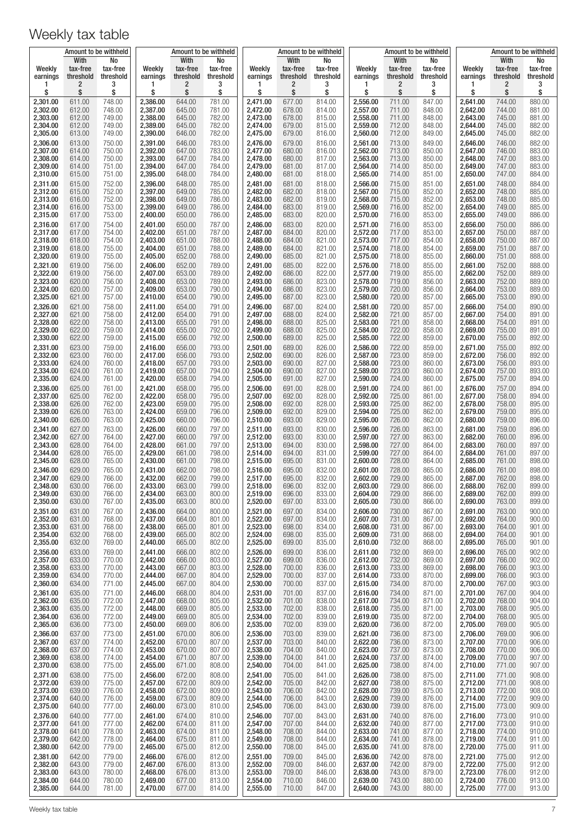|                      | Amount to be withheld |                  |                      |                  | Amount to be withheld |                      | Amount to be withheld |                  |                      | Amount to be withheld |                  |                      | Amount to be withheld |                  |
|----------------------|-----------------------|------------------|----------------------|------------------|-----------------------|----------------------|-----------------------|------------------|----------------------|-----------------------|------------------|----------------------|-----------------------|------------------|
| Weekly               | With<br>tax-free      | No<br>tax-free   | Weekly               | With<br>tax-free | No<br>tax-free        | Weekly               | With<br>tax-free      | No<br>tax-free   | Weekly               | With<br>tax-free      | No<br>tax-free   | Weekly               | With<br>tax-free      | No<br>tax-free   |
| earnings             | threshold             | threshold        | earnings             | threshold        | threshold             | earnings             | threshold             | threshold        | earnings             | threshold             | threshold        | earnings             | threshold             | threshold        |
| \$                   | 2<br>\$               | 3<br>\$          | 1<br>\$              | 2<br>\$          | 3<br>\$               | 1<br>\$              | 2<br>\$               | 3<br>\$          | 1<br>\$              | 2<br>\$               | 3<br>\$          | 1<br>\$              | 2<br>\$               | 3<br>\$          |
| 2,301.00             | 611.00                | 748.00           | 2,386.00             | 644.00           | 781.00                | 2,471.00             | 677.00                | 814.00           | 2,556.00             | 711.00                | 847.00           | 2,641.00             | 744.00                | 880.00           |
| 2,302.00<br>2,303.00 | 612.00<br>612.00      | 748.00<br>749.00 | 2,387.00<br>2,388.00 | 645.00<br>645.00 | 781.00<br>782.00      | 2,472.00<br>2,473.00 | 678.00<br>678.00      | 814.00<br>815.00 | 2,557.00<br>2,558.00 | 711.00<br>711.00      | 848.00<br>848.00 | 2,642.00<br>2,643.00 | 744.00<br>745.00      | 881.00<br>881.00 |
| 2,304.00             | 612.00                | 749.00           | 2,389.00             | 645.00           | 782.00                | 2,474.00             | 679.00                | 815.00           | 2,559.00             | 712.00                | 848.00           | 2,644.00             | 745.00                | 882.00           |
| 2,305.00             | 613.00                | 749.00           | 2,390.00             | 646.00           | 782.00                | 2,475.00             | 679.00                | 816.00           | 2,560.00             | 712.00                | 849.00           | 2,645.00             | 745.00                | 882.00           |
| 2,306.00<br>2,307.00 | 613.00<br>614.00      | 750.00<br>750.00 | 2,391.00<br>2,392.00 | 646.00<br>647.00 | 783.00<br>783.00      | 2,476.00<br>2,477.00 | 679.00<br>680.00      | 816.00<br>816.00 | 2,561.00<br>2,562.00 | 713.00<br>713.00      | 849.00<br>850.00 | 2,646.00<br>2,647.00 | 746.00<br>746.00      | 882.00<br>883.00 |
| 2,308.00             | 614.00                | 750.00           | 2,393.00             | 647.00           | 784.00                | 2,478.00             | 680.00                | 817.00           | 2,563.00             | 713.00                | 850.00           | 2,648.00             | 747.00                | 883.00           |
| 2,309.00<br>2,310.00 | 614.00<br>615.00      | 751.00<br>751.00 | 2,394.00<br>2,395.00 | 647.00<br>648.00 | 784.00<br>784.00      | 2,479.00<br>2,480.00 | 681.00<br>681.00      | 817.00<br>818.00 | 2,564.00<br>2,565.00 | 714.00<br>714.00      | 850.00<br>851.00 | 2,649.00<br>2,650.00 | 747.00<br>747.00      | 883.00<br>884.00 |
| 2,311.00             | 615.00                | 752.00           | 2,396.00             | 648.00           | 785.00                | 2,481.00             | 681.00                | 818.00           | 2,566.00             | 715.00                | 851.00           | 2,651.00             | 748.00                | 884.00           |
| 2,312.00<br>2,313.00 | 615.00<br>616.00      | 752.00<br>752.00 | 2,397.00<br>2,398.00 | 649.00<br>649.00 | 785.00<br>786.00      | 2,482.00<br>2,483.00 | 682.00<br>682.00      | 818.00<br>819.00 | 2,567.00<br>2,568.00 | 715.00<br>715.00      | 852.00<br>852.00 | 2,652.00<br>2,653.00 | 748.00<br>748.00      | 885.00<br>885.00 |
| 2,314.00             | 616.00                | 753.00           | 2,399.00             | 649.00           | 786.00                | 2,484.00             | 683.00                | 819.00           | 2,569.00             | 716.00                | 852.00           | 2,654.00             | 749.00                | 885.00           |
| 2,315.00<br>2,316.00 | 617.00<br>617.00      | 753.00<br>754.00 | 2,400.00<br>2,401.00 | 650.00<br>650.00 | 786.00<br>787.00      | 2,485.00<br>2,486.00 | 683.00<br>683.00      | 820.00<br>820.00 | 2,570.00<br>2,571.00 | 716.00<br>716.00      | 853.00<br>853.00 | 2,655.00<br>2,656.00 | 749.00<br>750.00      | 886.00<br>886.00 |
| 2,317.00             | 617.00                | 754.00           | 2,402.00             | 651.00           | 787.00                | 2,487.00             | 684.00                | 820.00           | 2,572.00             | 717.00                | 853.00           | 2,657.00             | 750.00                | 887.00           |
| 2,318.00<br>2,319.00 | 618.00<br>618.00      | 754.00<br>755.00 | 2,403.00<br>2,404.00 | 651.00<br>651.00 | 788.00<br>788.00      | 2,488.00<br>2,489.00 | 684.00<br>684.00      | 821.00<br>821.00 | 2,573.00<br>2,574.00 | 717.00<br>718.00      | 854.00<br>854.00 | 2,658.00<br>2,659.00 | 750.00<br>751.00      | 887.00<br>887.00 |
| 2,320.00             | 619.00                | 755.00           | 2,405.00             | 652.00           | 788.00                | 2,490.00             | 685.00                | 821.00           | 2,575.00             | 718.00                | 855.00           | 2,660.00             | 751.00                | 888.00           |
| 2,321.00             | 619.00                | 756.00           | 2,406.00             | 652.00           | 789.00                | 2,491.00             | 685.00                | 822.00           | 2,576.00             | 718.00                | 855.00           | 2,661.00             | 752.00                | 888.00           |
| 2,322.00<br>2,323.00 | 619.00<br>620.00      | 756.00<br>756.00 | 2,407.00<br>2,408.00 | 653.00<br>653.00 | 789.00<br>789.00      | 2,492.00<br>2,493.00 | 686.00<br>686.00      | 822.00<br>823.00 | 2,577.00<br>2,578.00 | 719.00<br>719.00      | 855.00<br>856.00 | 2,662.00<br>2,663.00 | 752.00<br>752.00      | 889.00<br>889.00 |
| 2,324.00             | 620.00                | 757.00           | 2,409.00             | 653.00           | 790.00                | 2,494.00             | 686.00                | 823.00           | 2,579.00             | 720.00                | 856.00           | 2,664.00             | 753.00                | 889.00           |
| 2,325.00<br>2,326.00 | 621.00<br>621.00      | 757.00<br>758.00 | 2,410.00<br>2,411.00 | 654.00<br>654.00 | 790.00<br>791.00      | 2,495.00<br>2,496.00 | 687.00<br>687.00      | 823.00<br>824.00 | 2,580.00<br>2,581.00 | 720.00<br>720.00      | 857.00<br>857.00 | 2,665.00<br>2,666.00 | 753.00<br>754.00      | 890.00<br>890.00 |
| 2,327.00             | 621.00                | 758.00           | 2,412.00             | 654.00           | 791.00                | 2,497.00             | 688.00                | 824.00           | 2,582.00             | 721.00                | 857.00           | 2,667.00             | 754.00                | 891.00           |
| 2,328.00<br>2,329.00 | 622.00<br>622.00      | 758.00<br>759.00 | 2,413.00<br>2,414.00 | 655.00<br>655.00 | 791.00<br>792.00      | 2,498.00<br>2,499.00 | 688.00<br>688.00      | 825.00<br>825.00 | 2,583.00<br>2,584.00 | 721.00<br>722.00      | 858.00<br>858.00 | 2,668.00<br>2,669.00 | 754.00<br>755.00      | 891.00<br>891.00 |
| 2,330.00             | 622.00                | 759.00           | 2,415.00             | 656.00           | 792.00                | 2,500.00             | 689.00                | 825.00           | 2,585.00             | 722.00                | 859.00           | 2,670.00             | 755.00                | 892.00           |
| 2,331.00             | 623.00                | 759.00           | 2,416.00             | 656.00           | 793.00                | 2,501.00             | 689.00                | 826.00           | 2,586.00             | 722.00                | 859.00           | 2,671.00             | 755.00                | 892.00           |
| 2,332.00<br>2,333.00 | 623.00<br>624.00      | 760.00<br>760.00 | 2,417.00<br>2,418.00 | 656.00<br>657.00 | 793.00<br>793.00      | 2,502.00<br>2,503.00 | 690.00<br>690.00      | 826.00<br>827.00 | 2,587.00<br>2,588.00 | 723.00<br>723.00      | 859.00<br>860.00 | 2,672.00<br>2,673.00 | 756.00<br>756.00      | 892.00<br>893.00 |
| 2,334.00             | 624.00                | 761.00           | 2,419.00             | 657.00           | 794.00                | 2,504.00             | 690.00                | 827.00           | 2,589.00             | 723.00                | 860.00           | 2,674.00             | 757.00                | 893.00           |
| 2,335.00<br>2,336.00 | 624.00<br>625.00      | 761.00<br>761.00 | 2,420.00<br>2,421.00 | 658.00<br>658.00 | 794.00<br>795.00      | 2,505.00<br>2,506.00 | 691.00<br>691.00      | 827.00<br>828.00 | 2,590.00<br>2,591.00 | 724.00<br>724.00      | 860.00<br>861.00 | 2,675.00<br>2,676.00 | 757.00<br>757.00      | 894.00<br>894.00 |
| 2,337.00             | 625.00                | 762.00           | 2,422.00             | 658.00           | 795.00                | 2,507.00             | 692.00                | 828.00           | 2,592.00             | 725.00                | 861.00           | 2,677.00             | 758.00                | 894.00           |
| 2,338.00<br>2,339.00 | 626.00<br>626.00      | 762.00<br>763.00 | 2,423.00<br>2,424.00 | 659.00<br>659.00 | 795.00<br>796.00      | 2,508.00<br>2,509.00 | 692.00<br>692.00      | 828.00<br>829.00 | 2,593.00<br>2,594.00 | 725.00<br>725.00      | 862.00<br>862.00 | 2,678.00<br>2,679.00 | 758.00<br>759.00      | 895.00<br>895.00 |
| 2,340.00             | 626.00                | 763.00           | 2,425.00             | 660.00           | 796.00                | 2,510.00             | 693.00                | 829.00           | 2,595.00             | 726.00                | 862.00           | 2,680.00             | 759.00                | 896.00           |
| 2,341.00             | 627.00                | 763.00<br>764.00 | 2,426.00             | 660.00<br>660.00 | 797.00<br>797.00      | 2,511.00             | 693.00                | 830.00<br>830.00 | 2,596.00             | 726.00<br>727.00      | 863.00           | 2,681.00             | 759.00                | 896.00<br>896.00 |
| 2,342.00<br>2,343.00 | 627.00<br>628.00      | 764.00           | 2,427.00<br>2,428.00 | 661.00           | 797.00                | 2,512.00<br>2,513.00 | 693.00<br>694.00      | 830.00           | 2,597.00<br>2,598.00 | 727.00                | 863.00<br>864.00 | 2,682.00<br>2,683.00 | 760.00<br>760.00      | 897.00           |
| 2,344.00<br>2,345.00 | 628.00<br>628.00      | 765.00<br>765.00 | 2,429.00<br>2,430.00 | 661.00<br>661.00 | 798.00<br>798.00      | 2,514.00<br>2,515.00 | 694.00<br>695.00      | 831.00<br>831.00 | 2,599.00<br>2,600.00 | 727.00<br>728.00      | 864.00<br>864.00 | 2,684.00<br>2,685.00 | 761.00<br>761.00      | 897.00<br>898.00 |
| 2,346.00             | 629.00                | 765.00           | 2,431.00             | 662.00           | 798.00                | 2,516.00             | 695.00                | 832.00           | 2.601.00             | 728.00                | 865.00           | 2,686.00             | 761.00                | 898.00           |
| 2,347.00             | 629.00                | 766.00           | 2,432.00             | 662.00           | 799.00                | 2,517.00             | 695.00                | 832.00           | 2,602.00             | 729.00                | 865.00           | 2,687.00             | 762.00                | 898.00           |
| 2,348.00<br>2,349.00 | 630.00<br>630.00      | 766.00<br>766.00 | 2,433.00<br>2,434.00 | 663.00<br>663.00 | 799.00<br>800.00      | 2,518.00<br>2,519.00 | 696.00<br>696.00      | 832.00<br>833.00 | 2,603.00<br>2,604.00 | 729.00<br>729.00      | 866.00<br>866.00 | 2,688.00<br>2,689.00 | 762.00<br>762.00      | 899.00<br>899.00 |
| 2,350.00             | 630.00                | 767.00           | 2,435.00             | 663.00           | 800.00                | 2,520.00             | 697.00                | 833.00           | 2,605.00             | 730.00                | 866.00           | 2,690.00             | 763.00                | 899.00           |
| 2,351.00<br>2,352.00 | 631.00<br>631.00      | 767.00<br>768.00 | 2,436.00<br>2,437.00 | 664.00<br>664.00 | 800.00<br>801.00      | 2,521.00<br>2,522.00 | 697.00<br>697.00      | 834.00<br>834.00 | 2,606.00<br>2,607.00 | 730.00<br>731.00      | 867.00<br>867.00 | 2,691.00<br>2,692.00 | 763.00<br>764.00      | 900.00<br>900.00 |
| 2,353.00             | 631.00                | 768.00           | 2,438.00             | 665.00           | 801.00                | 2,523.00             | 698.00                | 834.00           | 2,608.00             | 731.00                | 867.00           | 2,693.00             | 764.00                | 901.00           |
| 2,354.00<br>2,355.00 | 632.00<br>632.00      | 768.00<br>769.00 | 2,439.00<br>2,440.00 | 665.00<br>665.00 | 802.00<br>802.00      | 2,524.00<br>2,525.00 | 698.00<br>699.00      | 835.00<br>835.00 | 2,609.00<br>2,610.00 | 731.00<br>732.00      | 868.00<br>868.00 | 2,694.00<br>2,695.00 | 764.00<br>765.00      | 901.00<br>901.00 |
| 2,356.00             | 633.00                | 769.00           | 2,441.00             | 666.00           | 802.00                | 2,526.00             | 699.00                | 836.00           | 2,611.00             | 732.00                | 869.00           | 2,696.00             | 765.00                | 902.00           |
| 2,357.00<br>2,358.00 | 633.00<br>633.00      | 770.00<br>770.00 | 2,442.00<br>2,443.00 | 666.00<br>667.00 | 803.00<br>803.00      | 2,527.00<br>2,528.00 | 699.00<br>700.00      | 836.00<br>836.00 | 2,612.00<br>2,613.00 | 732.00<br>733.00      | 869.00<br>869.00 | 2,697.00<br>2,698.00 | 766.00<br>766.00      | 902.00<br>903.00 |
| 2,359.00             | 634.00                | 770.00           | 2,444.00             | 667.00           | 804.00                | 2,529.00             | 700.00                | 837.00           | 2,614.00             | 733.00                | 870.00           | 2,699.00             | 766.00                | 903.00           |
| 2,360.00<br>2,361.00 | 634.00<br>635.00      | 771.00<br>771.00 | 2,445.00<br>2,446.00 | 667.00<br>668.00 | 804.00<br>804.00      | 2,530.00<br>2,531.00 | 700.00<br>701.00      | 837.00<br>837.00 | 2,615.00<br>2,616.00 | 734.00<br>734.00      | 870.00<br>871.00 | 2,700.00<br>2,701.00 | 767.00<br>767.00      | 903.00<br>904.00 |
| 2,362.00             | 635.00                | 772.00           | 2,447.00             | 668.00           | 805.00                | 2,532.00             | 701.00                | 838.00           | 2,617.00             | 734.00                | 871.00           | 2,702.00             | 768.00                | 904.00           |
| 2,363.00<br>2,364.00 | 635.00<br>636.00      | 772.00<br>772.00 | 2,448.00<br>2,449.00 | 669.00<br>669.00 | 805.00<br>805.00      | 2,533.00<br>2,534.00 | 702.00<br>702.00      | 838.00<br>839.00 | 2,618.00<br>2,619.00 | 735.00<br>735.00      | 871.00<br>872.00 | 2,703.00<br>2,704.00 | 768.00<br>768.00      | 905.00<br>905.00 |
| 2,365.00             | 636.00                | 773.00           | 2,450.00             | 669.00           | 806.00                | 2,535.00             | 702.00                | 839.00           | 2,620.00             | 736.00                | 872.00           | 2,705.00             | 769.00                | 905.00           |
| 2,366.00<br>2,367.00 | 637.00<br>637.00      | 773.00<br>774.00 | 2,451.00<br>2,452.00 | 670.00<br>670.00 | 806.00<br>807.00      | 2,536.00<br>2,537.00 | 703.00<br>703.00      | 839.00<br>840.00 | 2,621.00<br>2,622.00 | 736.00<br>736.00      | 873.00<br>873.00 | 2,706.00<br>2,707.00 | 769.00<br>770.00      | 906.00<br>906.00 |
| 2,368.00             | 637.00                | 774.00           | 2,453.00             | 670.00           | 807.00                | 2,538.00             | 704.00                | 840.00           | 2,623.00             | 737.00                | 873.00           | 2,708.00             | 770.00                | 906.00           |
| 2,369.00<br>2,370.00 | 638.00<br>638.00      | 774.00<br>775.00 | 2,454.00<br>2,455.00 | 671.00<br>671.00 | 807.00<br>808.00      | 2,539.00<br>2,540.00 | 704.00<br>704.00      | 841.00<br>841.00 | 2,624.00<br>2,625.00 | 737.00<br>738.00      | 874.00<br>874.00 | 2,709.00<br>2,710.00 | 770.00<br>771.00      | 907.00<br>907.00 |
| 2,371.00             | 638.00                | 775.00           | 2,456.00             | 672.00           | 808.00                | 2,541.00             | 705.00                | 841.00           | 2,626.00             | 738.00                | 875.00           | 2,711.00             | 771.00                | 908.00           |
| 2,372.00             | 639.00                | 775.00           | 2,457.00             | 672.00           | 809.00                | 2,542.00             | 705.00                | 842.00           | 2,627.00             | 738.00                | 875.00           | 2,712.00             | 771.00                | 908.00           |
| 2,373.00<br>2,374.00 | 639.00<br>640.00      | 776.00<br>776.00 | 2,458.00<br>2,459.00 | 672.00<br>673.00 | 809.00<br>809.00      | 2,543.00<br>2,544.00 | 706.00<br>706.00      | 842.00<br>843.00 | 2,628.00<br>2,629.00 | 739.00<br>739.00      | 875.00<br>876.00 | 2,713.00<br>2,714.00 | 772.00<br>772.00      | 908.00<br>909.00 |
| 2,375.00             | 640.00                | 777.00           | 2,460.00             | 673.00           | 810.00                | 2,545.00             | 706.00                | 843.00           | 2,630.00             | 739.00                | 876.00           | 2,715.00             | 773.00                | 909.00           |
| 2,376.00<br>2,377.00 | 640.00<br>641.00      | 777.00<br>777.00 | 2,461.00<br>2,462.00 | 674.00<br>674.00 | 810.00<br>811.00      | 2,546.00<br>2,547.00 | 707.00<br>707.00      | 843.00<br>844.00 | 2,631.00<br>2,632.00 | 740.00<br>740.00      | 876.00<br>877.00 | 2,716.00<br>2,717.00 | 773.00<br>773.00      | 910.00<br>910.00 |
| 2,378.00             | 641.00                | 778.00           | 2,463.00             | 674.00           | 811.00                | 2,548.00             | 708.00                | 844.00           | 2,633.00             | 741.00                | 877.00           | 2,718.00             | 774.00                | 910.00           |
| 2,379.00<br>2,380.00 | 642.00<br>642.00      | 778.00<br>779.00 | 2,464.00<br>2,465.00 | 675.00<br>675.00 | 811.00<br>812.00      | 2,549.00<br>2,550.00 | 708.00<br>708.00      | 844.00<br>845.00 | 2,634.00<br>2,635.00 | 741.00<br>741.00      | 878.00<br>878.00 | 2,719.00<br>2,720.00 | 774.00<br>775.00      | 911.00<br>911.00 |
| 2,381.00             | 642.00                | 779.00           | 2,466.00             | 676.00           | 812.00                | 2,551.00             | 709.00                | 845.00           | 2,636.00             | 742.00                | 878.00           | 2,721.00             | 775.00                | 912.00           |
| 2,382.00<br>2,383.00 | 643.00<br>643.00      | 779.00<br>780.00 | 2,467.00<br>2,468.00 | 676.00<br>676.00 | 813.00<br>813.00      | 2,552.00<br>2,553.00 | 709.00<br>709.00      | 846.00<br>846.00 | 2,637.00<br>2,638.00 | 742.00<br>743.00      | 879.00<br>879.00 | 2,722.00<br>2,723.00 | 775.00<br>776.00      | 912.00<br>912.00 |
| 2,384.00             | 644.00                | 780.00           | 2,469.00             | 677.00           | 813.00                | 2,554.00             | 710.00                | 846.00           | 2,639.00             | 743.00                | 880.00           | 2,724.00             | 776.00                | 913.00           |
| 2,385.00             | 644.00                | 781.00           | 2,470.00             | 677.00           | 814.00                | 2,555.00             | 710.00                | 847.00           | 2,640.00             | 743.00                | 880.00           | 2,725.00             | 777.00                | 913.00           |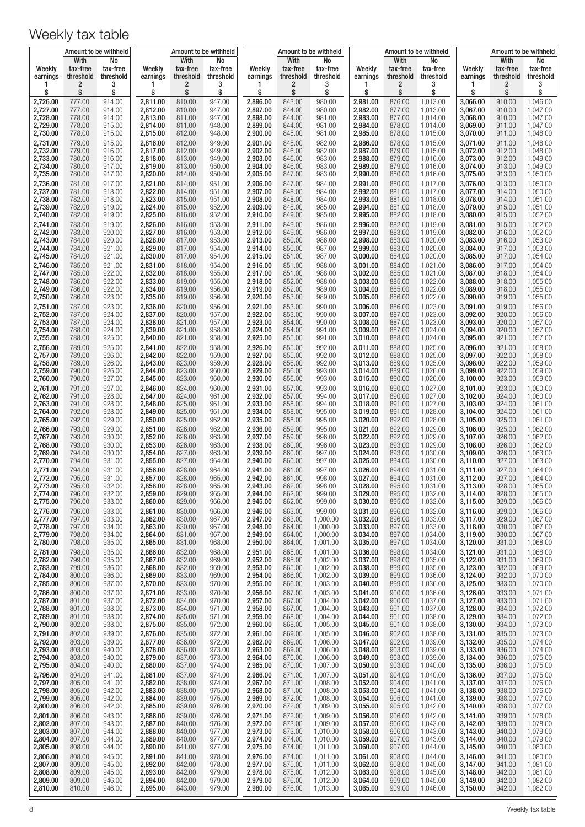|                      | Amount to be withheld         |                             | Amount to be withheld |                               |                             |                      | Amount to be withheld         |                             |                      |                               | Amount to be withheld       | Amount to be withheld |                               |                             |
|----------------------|-------------------------------|-----------------------------|-----------------------|-------------------------------|-----------------------------|----------------------|-------------------------------|-----------------------------|----------------------|-------------------------------|-----------------------------|-----------------------|-------------------------------|-----------------------------|
| Weekly<br>earnings   | With<br>tax-free<br>threshold | No<br>tax-free<br>threshold | Weekly<br>earnings    | With<br>tax-free<br>threshold | No<br>tax-free<br>threshold | Weekly<br>earnings   | With<br>tax-free<br>threshold | No<br>tax-free<br>threshold | Weekly<br>earnings   | With<br>tax-free<br>threshold | No<br>tax-free<br>threshold | Weekly<br>earnings    | With<br>tax-free<br>threshold | No<br>tax-free<br>threshold |
| \$                   | 2<br>\$                       | 3<br>\$                     | 1<br>\$               | 2<br>\$                       | 3<br>\$                     | \$                   | 2<br>\$                       | 3<br>\$                     | 1<br>\$              | 2<br>\$                       | 3<br>\$                     | 1<br>\$               | 2<br>\$                       | 3<br>\$                     |
| 2,726.00             | 777.00                        | 914.00                      | 2,811.00              | 810.00                        | 947.00                      | 2,896.00             | 843.00                        | 980.00                      | 2,981.00             | 876.00                        | 1,013.00                    | 3,066.00              | 910.00                        | 1,046.00                    |
| 2,727.00<br>2,728.00 | 777.00<br>778.00              | 914.00<br>914.00            | 2,812.00<br>2,813.00  | 810.00<br>811.00              | 947.00<br>947.00            | 2,897.00<br>2,898.00 | 844.00<br>844.00              | 980.00<br>981.00            | 2,982.00<br>2,983.00 | 877.00<br>877.00              | 1,013.00<br>1.014.00        | 3,067.00<br>3,068.00  | 910.00<br>910.00              | 1,047.00<br>1,047.00        |
| 2,729.00             | 778.00                        | 915.00                      | 2,814.00              | 811.00                        | 948.00                      | 2,899.00             | 844.00                        | 981.00                      | 2,984.00             | 878.00                        | 1,014.00                    | 3,069.00              | 911.00                        | 1,047.00                    |
| 2,730.00             | 778.00                        | 915.00                      | 2,815.00              | 812.00                        | 948.00                      | 2,900.00             | 845.00                        | 981.00                      | 2,985.00             | 878.00                        | 1,015.00                    | 3,070.00              | 911.00                        | 1,048.00                    |
| 2,731.00<br>2,732.00 | 779.00<br>779.00              | 915.00<br>916.00            | 2,816.00<br>2,817.00  | 812.00<br>812.00              | 949.00<br>949.00            | 2,901.00<br>2,902.00 | 845.00<br>846.00              | 982.00<br>982.00            | 2,986.00<br>2,987.00 | 878.00<br>879.00              | 1,015.00<br>1,015.00        | 3,071.00<br>3,072.00  | 911.00<br>912.00              | 1,048.00<br>1,048.00        |
| 2,733.00             | 780.00                        | 916.00                      | 2,818.00              | 813.00                        | 949.00                      | 2,903.00             | 846.00                        | 983.00                      | 2,988.00             | 879.00                        | 1,016.00                    | 3,073.00              | 912.00                        | 1,049.00                    |
| 2,734.00<br>2,735.00 | 780.00<br>780.00              | 917.00<br>917.00            | 2,819.00<br>2,820.00  | 813.00<br>814.00              | 950.00<br>950.00            | 2,904.00<br>2,905.00 | 846.00<br>847.00              | 983.00<br>983.00            | 2,989.00<br>2,990.00 | 879.00<br>880.00              | 1,016.00<br>1,016.00        | 3,074.00<br>3,075.00  | 913.00<br>913.00              | 1,049.00<br>1,050.00        |
| 2,736.00             | 781.00                        | 917.00                      | 2,821.00              | 814.00                        | 951.00                      | 2,906.00             | 847.00                        | 984.00                      | 2,991.00             | 880.00                        | 1,017.00                    | 3,076.00              | 913.00                        | 1,050.00                    |
| 2,737.00<br>2,738.00 | 781.00<br>782.00              | 918.00<br>918.00            | 2,822.00<br>2,823.00  | 814.00<br>815.00              | 951.00<br>951.00            | 2,907.00<br>2,908.00 | 848.00<br>848.00              | 984.00<br>984.00            | 2,992.00<br>2,993.00 | 881.00<br>881.00              | 1,017.00<br>1,018.00        | 3,077.00<br>3,078.00  | 914.00<br>914.00              | 1,050.00<br>1,051.00        |
| 2,739.00<br>2,740.00 | 782.00<br>782.00              | 919.00<br>919.00            | 2,824.00<br>2,825.00  | 815.00<br>816.00              | 952.00<br>952.00            | 2,909.00<br>2,910.00 | 848.00<br>849.00              | 985.00<br>985.00            | 2,994.00<br>2,995.00 | 881.00<br>882.00              | 1,018.00<br>1,018.00        | 3,079.00<br>3,080.00  | 915.00<br>915.00              | 1,051.00<br>1,052.00        |
| 2,741.00             | 783.00                        | 919.00                      | 2,826.00              | 816.00                        | 953.00                      | 2,911.00             | 849.00                        | 986.00                      | 2,996.00             | 882.00                        | 1,019.00                    | 3,081.00              | 915.00                        | 1,052.00                    |
| 2,742.00             | 783.00                        | 920.00                      | 2,827.00              | 816.00                        | 953.00                      | 2,912.00             | 849.00                        | 986.00                      | 2,997.00             | 883.00                        | 1,019.00                    | 3,082.00              | 916.00                        | 1,052.00                    |
| 2,743.00<br>2,744.00 | 784.00<br>784.00              | 920.00<br>921.00            | 2,828.00<br>2,829.00  | 817.00<br>817.00              | 953.00<br>954.00            | 2,913.00<br>2,914.00 | 850.00<br>850.00              | 986.00<br>987.00            | 2,998.00<br>2,999.00 | 883.00<br>883.00              | 1,020.00<br>1,020.00        | 3,083.00<br>3,084.00  | 916.00<br>917.00              | 1,053.00<br>1,053.00        |
| 2,745.00             | 784.00                        | 921.00                      | 2,830.00              | 817.00                        | 954.00                      | 2,915.00             | 851.00                        | 987.00                      | 3,000.00             | 884.00                        | 1,020.00                    | 3,085.00              | 917.00                        | 1,054.00                    |
| 2,746.00<br>2,747.00 | 785.00<br>785.00              | 921.00<br>922.00            | 2,831.00<br>2,832.00  | 818.00<br>818.00              | 954.00<br>955.00            | 2.916.00<br>2,917.00 | 851.00<br>851.00              | 988.00<br>988.00            | 3,001.00<br>3,002.00 | 884.00<br>885.00              | 1,021.00<br>1,021.00        | 3,086.00<br>3,087.00  | 917.00<br>918.00              | 1,054.00<br>1,054.00        |
| 2,748.00<br>2,749.00 | 786.00<br>786.00              | 922.00<br>922.00            | 2,833.00<br>2,834.00  | 819.00<br>819.00              | 955.00<br>956.00            | 2,918.00<br>2,919.00 | 852.00<br>852.00              | 988.00<br>989.00            | 3,003.00<br>3,004.00 | 885.00<br>885.00              | 1,022.00<br>1,022.00        | 3,088.00<br>3,089.00  | 918.00<br>918.00              | 1,055.00<br>1,055.00        |
| 2,750.00             | 786.00                        | 923.00                      | 2,835.00              | 819.00                        | 956.00                      | 2,920.00             | 853.00                        | 989.00                      | 3,005.00             | 886.00                        | 1,022.00                    | 3,090.00              | 919.00                        | 1,055.00                    |
| 2,751.00<br>2,752.00 | 787.00<br>787.00              | 923.00<br>924.00            | 2,836.00<br>2,837.00  | 820.00<br>820.00              | 956.00<br>957.00            | 2,921.00<br>2,922.00 | 853.00<br>853.00              | 990.00<br>990.00            | 3,006.00<br>3,007.00 | 886.00<br>887.00              | 1,023.00<br>1,023.00        | 3,091.00<br>3,092.00  | 919.00<br>920.00              | 1,056.00<br>1,056.00        |
| 2,753.00             | 787.00                        | 924.00                      | 2,838.00              | 821.00                        | 957.00                      | 2,923.00             | 854.00                        | 990.00                      | 3,008.00             | 887.00                        | 1,023.00                    | 3,093.00              | 920.00                        | 1,057.00                    |
| 2,754.00<br>2,755.00 | 788.00<br>788.00              | 924.00<br>925.00            | 2,839.00<br>2,840.00  | 821.00<br>821.00              | 958.00<br>958.00            | 2,924.00<br>2,925.00 | 854.00<br>855.00              | 991.00<br>991.00            | 3,009.00<br>3,010.00 | 887.00<br>888.00              | 1,024.00<br>1,024.00        | 3,094.00<br>3,095.00  | 920.00<br>921.00              | 1,057.00<br>1,057.00        |
| 2,756.00             | 789.00                        | 925.00                      | 2,841.00              | 822.00                        | 958.00                      | 2,926.00             | 855.00                        | 992.00                      | 3,011.00             | 888.00                        | 1,025.00                    | 3,096.00              | 921.00                        | 1,058.00                    |
| 2,757.00<br>2,758.00 | 789.00<br>789.00              | 926.00<br>926.00            | 2,842.00<br>2,843.00  | 822.00<br>823.00              | 959.00<br>959.00            | 2,927.00<br>2,928.00 | 855.00<br>856.00              | 992.00<br>992.00            | 3,012.00<br>3,013.00 | 888.00<br>889.00              | 1,025.00<br>1,025.00        | 3,097.00<br>3,098.00  | 922.00<br>922.00              | 1,058.00<br>1,059.00        |
| 2,759.00             | 790.00                        | 926.00                      | 2,844.00              | 823.00                        | 960.00                      | 2,929.00             | 856.00                        | 993.00                      | 3,014.00             | 889.00                        | 1,026.00                    | 3,099.00              | 922.00                        | 1,059.00                    |
| 2,760.00<br>2,761.00 | 790.00<br>791.00              | 927.00<br>927.00            | 2,845.00<br>2,846.00  | 823.00<br>824.00              | 960.00<br>960.00            | 2,930.00<br>2,931.00 | 856.00<br>857.00              | 993.00<br>993.00            | 3,015.00<br>3,016.00 | 890.00<br>890.00              | 1,026.00<br>1,027.00        | 3,100.00<br>3,101.00  | 923.00<br>923.00              | 1,059.00<br>1,060.00        |
| 2,762.00             | 791.00                        | 928.00                      | 2,847.00              | 824.00                        | 961.00                      | 2,932.00             | 857.00                        | 994.00                      | 3,017.00             | 890.00                        | 1,027.00                    | 3,102.00              | 924.00                        | 1,060.00                    |
| 2,763.00<br>2,764.00 | 791.00<br>792.00              | 928.00<br>928.00            | 2,848.00<br>2,849.00  | 825.00<br>825.00              | 961.00<br>961.00            | 2,933.00<br>2,934.00 | 858.00<br>858.00              | 994.00<br>995.00            | 3,018.00<br>3,019.00 | 891.00<br>891.00              | 1,027.00<br>1,028.00        | 3,103.00<br>3,104.00  | 924.00<br>924.00              | 1,061.00<br>1,061.00        |
| 2,765.00             | 792.00                        | 929.00                      | 2,850.00              | 825.00                        | 962.00                      | 2,935.00             | 858.00                        | 995.00                      | 3,020.00             | 892.00                        | 1,028.00                    | 3,105.00              | 925.00                        | 1,061.00                    |
| 2,766.00<br>2,767.00 | 793.00<br>793.00              | 929.00<br>930.00            | 2,851.00<br>2,852.00  | 826.00<br>826.00              | 962.00<br>963.00            | 2,936.00<br>2,937.00 | 859.00<br>859.00              | 995.00<br>996.00            | 3,021.00<br>3,022.00 | 892.00<br>892.00              | 1,029.00<br>1,029.00        | 3,106.00<br>3,107.00  | 925.00<br>926.00              | 1,062.00<br>1,062.00        |
| 2,768.00             | 793.00                        | 930.00                      | 2,853.00              | 826.00                        | 963.00                      | 2,938.00             | 860.00                        | 996.00                      | 3,023.00             | 893.00                        | 1,029.00                    | 3,108.00              | 926.00                        | 1,062.00                    |
| 2,769.00<br>2,770.00 | 794.00<br>794.00              | 930.00<br>931.00            | 2,854.00<br>2,855.00  | 827.00<br>827.00              | 963.00<br>964.00            | 2,939.00<br>2,940.00 | 860.00<br>860.00              | 997.00<br>997.00            | 3,024.00<br>3,025.00 | 893.00<br>894.00              | 1,030.00<br>1,030.00        | 3,109.00<br>3,110.00  | 926.00<br>927.00              | 1,063.00<br>1,063.00        |
| 2,771.00             | 794.00                        | 931.00                      | 2.856.00              | 828.00                        | 964.00                      | 2,941.00             | 861.00                        | 997.00                      | 3,026.00             | 894.00                        | 1.031.00                    | 3,111.00              | 927.00                        | 1,064.00                    |
| 2,772.00<br>2,773.00 | 795.00<br>795.00              | 931.00<br>932.00            | 2,857.00<br>2,858.00  | 828.00<br>828.00              | 965.00<br>965.00            | 2,942.00<br>2,943.00 | 861.00<br>862.00              | 998.00<br>998.00            | 3,027.00<br>3,028.00 | 894.00<br>895.00              | 1,031.00<br>1,031.00        | 3,112.00<br>3,113.00  | 927.00<br>928.00              | 1,064.00<br>1,065.00        |
| 2,774.00<br>2,775.00 | 796.00<br>796.00              | 932.00<br>933.00            | 2,859.00<br>2,860.00  | 829.00<br>829.00              | 965.00<br>966.00            | 2,944.00<br>2,945.00 | 862.00<br>862.00              | 999.00<br>999.00            | 3,029.00<br>3,030.00 | 895.00<br>895.00              | 1,032.00<br>1,032.00        | 3,114.00<br>3,115.00  | 928.00<br>929.00              | 1,065.00<br>1,066.00        |
| 2,776.00             | 796.00                        | 933.00                      | 2,861.00              | 830.00                        | 966.00                      | 2,946.00             | 863.00                        | 999.00                      | 3,031.00             | 896.00                        | 1,032.00                    | 3,116.00              | 929.00                        | 1.066.00                    |
| 2,777.00<br>2,778.00 | 797.00<br>797.00              | 933.00<br>934.00            | 2,862.00<br>2,863.00  | 830.00<br>830.00              | 967.00<br>967.00            | 2,947.00<br>2,948.00 | 863.00<br>864.00              | 1,000.00<br>1,000.00        | 3,032.00<br>3,033.00 | 896.00<br>897.00              | 1,033.00<br>1,033.00        | 3,117.00<br>3,118.00  | 929.00<br>930.00              | 1,067.00<br>1,067.00        |
| 2,779.00             | 798.00                        | 934.00                      | 2,864.00              | 831.00                        | 967.00                      | 2,949.00             | 864.00                        | 1,000.00                    | 3,034.00             | 897.00                        | 1,034.00                    | 3,119.00              | 930.00                        | 1,067.00                    |
| 2,780.00<br>2,781.00 | 798.00<br>798.00              | 935.00<br>935.00            | 2,865.00<br>2,866.00  | 831.00<br>832.00              | 968.00<br>968.00            | 2,950.00<br>2,951.00 | 864.00<br>865.00              | 1,001.00<br>1,001.00        | 3,035.00<br>3,036.00 | 897.00<br>898.00              | 1,034.00<br>1,034.00        | 3,120.00<br>3,121.00  | 931.00<br>931.00              | 1,068.00<br>1,068.00        |
| 2,782.00             | 799.00                        | 935.00                      | 2,867.00              | 832.00                        | 969.00                      | 2,952.00             | 865.00                        | 1,002.00                    | 3,037.00             | 898.00                        | 1,035.00                    | 3,122.00              | 931.00                        | 1,069.00                    |
| 2,783.00<br>2,784.00 | 799.00<br>800.00              | 936.00<br>936.00            | 2,868.00<br>2,869.00  | 832.00<br>833.00              | 969.00<br>969.00            | 2,953.00<br>2,954.00 | 865.00<br>866.00              | 1,002.00<br>1,002.00        | 3,038.00<br>3,039.00 | 899.00<br>899.00              | 1,035.00<br>1,036.00        | 3,123.00<br>3,124.00  | 932.00<br>932.00              | 1,069.00<br>1,070.00        |
| 2,785.00             | 800.00                        | 937.00                      | 2,870.00              | 833.00                        | 970.00                      | 2,955.00             | 866.00                        | 1,003.00                    | 3,040.00             | 899.00                        | 1,036.00                    | 3,125.00              | 933.00                        | 1,070.00                    |
| 2,786.00<br>2,787.00 | 800.00<br>801.00              | 937.00<br>937.00            | 2,871.00<br>2,872.00  | 833.00<br>834.00              | 970.00<br>970.00            | 2,956.00<br>2,957.00 | 867.00<br>867.00              | 1,003.00<br>1,004.00        | 3,041.00<br>3,042.00 | 900.00<br>900.00              | 1,036.00<br>1,037.00        | 3,126.00<br>3,127.00  | 933.00<br>933.00              | 1,071.00<br>1,071.00        |
| 2,788.00<br>2,789.00 | 801.00<br>801.00              | 938.00<br>938.00            | 2,873.00<br>2,874.00  | 834.00<br>835.00              | 971.00<br>971.00            | 2,958.00<br>2,959.00 | 867.00<br>868.00              | 1,004.00<br>1,004.00        | 3,043.00<br>3,044.00 | 901.00<br>901.00              | 1,037.00<br>1,038.00        | 3,128.00<br>3,129.00  | 934.00<br>934.00              | 1,072.00<br>1,072.00        |
| 2,790.00             | 802.00                        | 938.00                      | 2,875.00              | 835.00                        | 972.00                      | 2,960.00             | 868.00                        | 1,005.00                    | 3,045.00             | 901.00                        | 1,038.00                    | 3,130.00              | 934.00                        | 1,073.00                    |
| 2,791.00<br>2,792.00 | 802.00<br>803.00              | 939.00<br>939.00            | 2,876.00<br>2,877.00  | 835.00<br>836.00              | 972.00<br>972.00            | 2,961.00<br>2,962.00 | 869.00<br>869.00              | 1,005.00<br>1,006.00        | 3,046.00<br>3,047.00 | 902.00<br>902.00              | 1,038.00<br>1,039.00        | 3,131.00<br>3,132.00  | 935.00<br>935.00              | 1,073.00<br>1,074.00        |
| 2,793.00             | 803.00                        | 940.00                      | 2,878.00              | 836.00                        | 973.00                      | 2,963.00             | 869.00                        | 1,006.00                    | 3,048.00             | 903.00                        | 1,039.00                    | 3,133.00              | 936.00                        | 1,074.00                    |
| 2,794.00<br>2,795.00 | 803.00<br>804.00              | 940.00<br>940.00            | 2,879.00<br>2,880.00  | 837.00<br>837.00              | 973.00<br>974.00            | 2,964.00<br>2,965.00 | 870.00<br>870.00              | 1,006.00<br>1,007.00        | 3,049.00<br>3,050.00 | 903.00<br>903.00              | 1,039.00<br>1,040.00        | 3,134.00<br>3,135.00  | 936.00<br>936.00              | 1,075.00<br>1,075.00        |
| 2,796.00             | 804.00                        | 941.00                      | 2,881.00              | 837.00                        | 974.00                      | 2,966.00             | 871.00                        | 1,007.00                    | 3,051.00             | 904.00                        | 1,040.00                    | 3,136.00              | 937.00                        | 1,075.00                    |
| 2,797.00<br>2,798.00 | 805.00<br>805.00              | 941.00<br>942.00            | 2,882.00<br>2,883.00  | 838.00<br>838.00              | 974.00<br>975.00            | 2,967.00<br>2,968.00 | 871.00<br>871.00              | 1,008.00<br>1,008.00        | 3,052.00<br>3,053.00 | 904.00<br>904.00              | 1,041.00<br>1,041.00        | 3,137.00<br>3,138.00  | 937.00<br>938.00              | 1,076.00<br>1,076.00        |
| 2,799.00             | 805.00                        | 942.00                      | 2,884.00              | 839.00                        | 975.00                      | 2,969.00             | 872.00                        | 1,008.00                    | 3,054.00             | 905.00                        | 1,041.00                    | 3,139.00              | 938.00                        | 1,077.00                    |
| 2,800.00<br>2,801.00 | 806.00<br>806.00              | 942.00<br>943.00            | 2,885.00<br>2,886.00  | 839.00<br>839.00              | 976.00<br>976.00            | 2,970.00<br>2,971.00 | 872.00<br>872.00              | 1,009.00<br>1,009.00        | 3,055.00<br>3,056.00 | 905.00<br>906.00              | 1,042.00<br>1,042.00        | 3,140.00<br>3,141.00  | 938.00<br>939.00              | 1,077.00<br>1,078.00        |
| 2,802.00             | 807.00                        | 943.00                      | 2,887.00              | 840.00                        | 976.00                      | 2,972.00             | 873.00                        | 1,009.00                    | 3,057.00             | 906.00                        | 1,043.00                    | 3,142.00              | 939.00                        | 1,078.00                    |
| 2,803.00<br>2,804.00 | 807.00<br>807.00              | 944.00<br>944.00            | 2,888.00<br>2,889.00  | 840.00<br>840.00              | 977.00<br>977.00            | 2,973.00<br>2,974.00 | 873.00<br>874.00              | 1,010.00<br>1,010.00        | 3,058.00<br>3,059.00 | 906.00<br>907.00              | 1,043.00<br>1,043.00        | 3,143.00<br>3,144.00  | 940.00<br>940.00              | 1,079.00<br>1,079.00        |
| 2,805.00<br>2,806.00 | 808.00<br>808.00              | 944.00<br>945.00            | 2,890.00<br>2,891.00  | 841.00<br>841.00              | 977.00<br>978.00            | 2,975.00<br>2,976.00 | 874.00<br>874.00              | 1,011.00<br>1,011.00        | 3,060.00<br>3,061.00 | 907.00<br>908.00              | 1,044.00<br>1,044.00        | 3,145.00<br>3,146.00  | 940.00<br>941.00              | 1,080.00<br>1,080.00        |
| 2,807.00             | 809.00                        | 945.00                      | 2,892.00              | 842.00                        | 978.00                      | 2,977.00             | 875.00                        | 1,011.00                    | 3,062.00             | 908.00                        | 1,045.00                    | 3,147.00              | 941.00                        | 1,081.00                    |
| 2,808.00<br>2,809.00 | 809.00<br>809.00              | 945.00<br>946.00            | 2,893.00<br>2,894.00  | 842.00<br>842.00              | 979.00<br>979.00            | 2,978.00<br>2,979.00 | 875.00<br>876.00              | 1,012.00<br>1,012.00        | 3,063.00<br>3,064.00 | 908.00<br>909.00              | 1,045.00<br>1,045.00        | 3,148.00<br>3,149.00  | 942.00<br>942.00              | 1,081.00<br>1,082.00        |
| 2,810.00             | 810.00                        | 946.00                      | 2,895.00              | 843.00                        | 979.00                      | 2,980.00             | 876.00                        | 1,013.00                    | 3,065.00             | 909.00                        | 1,046.00                    | 3,150.00              | 942.00                        | 1,082.00                    |